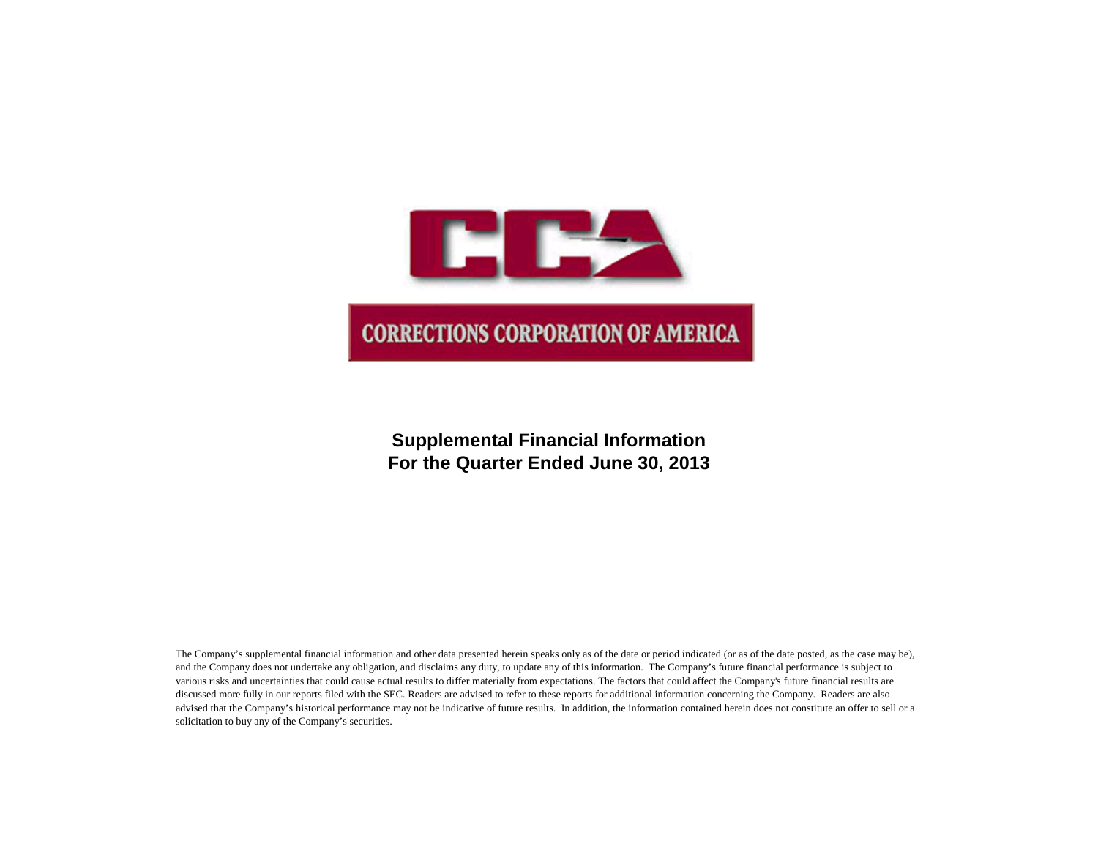

# **Supplemental Financial Information For the Quarter Ended June 30, 2013**

The Company's supplemental financial information and other data presented herein speaks only as of the date or period indicated (or as of the date posted, as the case may be), and the Company does not undertake any obligation, and disclaims any duty, to update any of this information. The Company's future financial performance is subject to various risks and uncertainties that could cause actual results to differ materially from expectations. The factors that could affect the Company's future financial results are discussed more fully in our reports filed with the SEC. Readers are advised to refer to these reports for additional information concerning the Company. Readers are also advised that the Company's historical performance may not be indicative of future results. In addition, the information contained herein does not constitute an offer to sell or a solicitation to buy any of the Company's securities.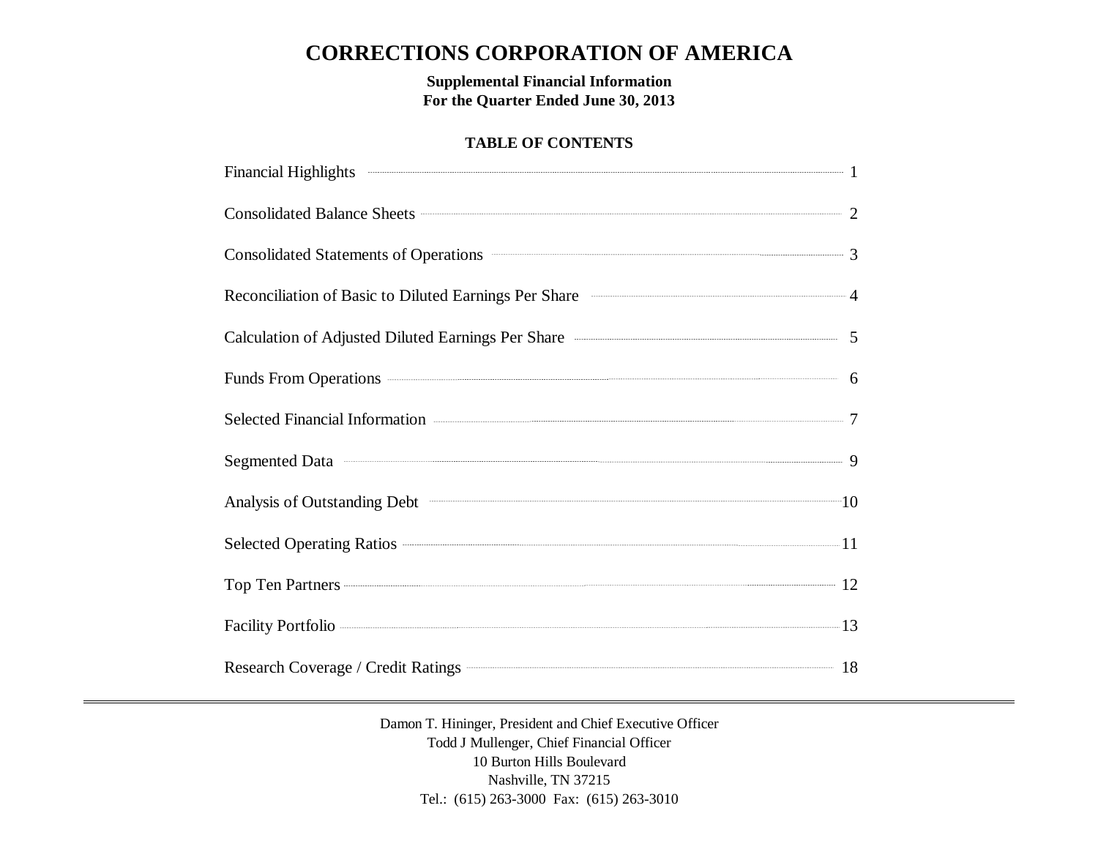# **CORRECTIONS CORPORATION OF AMERICA**

**Supplemental Financial Information For the Quarter Ended June 30, 2013**

# **TABLE OF CONTENTS**

| Consolidated Balance Sheets 22                                                                                                                                                                                                                           |  |
|----------------------------------------------------------------------------------------------------------------------------------------------------------------------------------------------------------------------------------------------------------|--|
| Consolidated Statements of Operations <b>Consolidated Statements</b> of Operations <b>Consolidated Statements</b> of Operations <b>Consolidated Statements</b> of Operations <b>Consolidated Statements</b> of Operations <b>Consolidated Statements</b> |  |
| Reconciliation of Basic to Diluted Earnings Per Share <b>Constanting According to According According According According According According According According According According According According According According Ac</b>                     |  |
| Calculation of Adjusted Diluted Earnings Per Share                                                                                                                                                                                                       |  |
| Funds From Operations 6                                                                                                                                                                                                                                  |  |
| Selected Financial Information <b>Contact Selected</b> Financial Information <b>7</b>                                                                                                                                                                    |  |
| Segmented Data 30 and 2011 0 3 and 3 and 3 and 3 and 3 and 3 and 3 and 3 and 3 and 3 and 3 and 3 and 3 and 3 and 3 and 3 and 3 and 3 and 3 and 3 and 3 and 3 and 3 and 3 and 3 and 3 and 3 and 3 and 3 and 3 and 3 and 3 and 3                           |  |
| Analysis of Outstanding Debt <sup>201</sup> 10                                                                                                                                                                                                           |  |
|                                                                                                                                                                                                                                                          |  |
| Top Ten Partners 22                                                                                                                                                                                                                                      |  |
| Facility Portfolio 23                                                                                                                                                                                                                                    |  |
| Research Coverage / Credit Ratings <b>Construction</b> 18                                                                                                                                                                                                |  |

Damon T. Hininger, President and Chief Executive Officer Todd J Mullenger, Chief Financial Officer 10 Burton Hills Boulevard Nashville, TN 37215 Tel.: (615) 263-3000 Fax: (615) 263-3010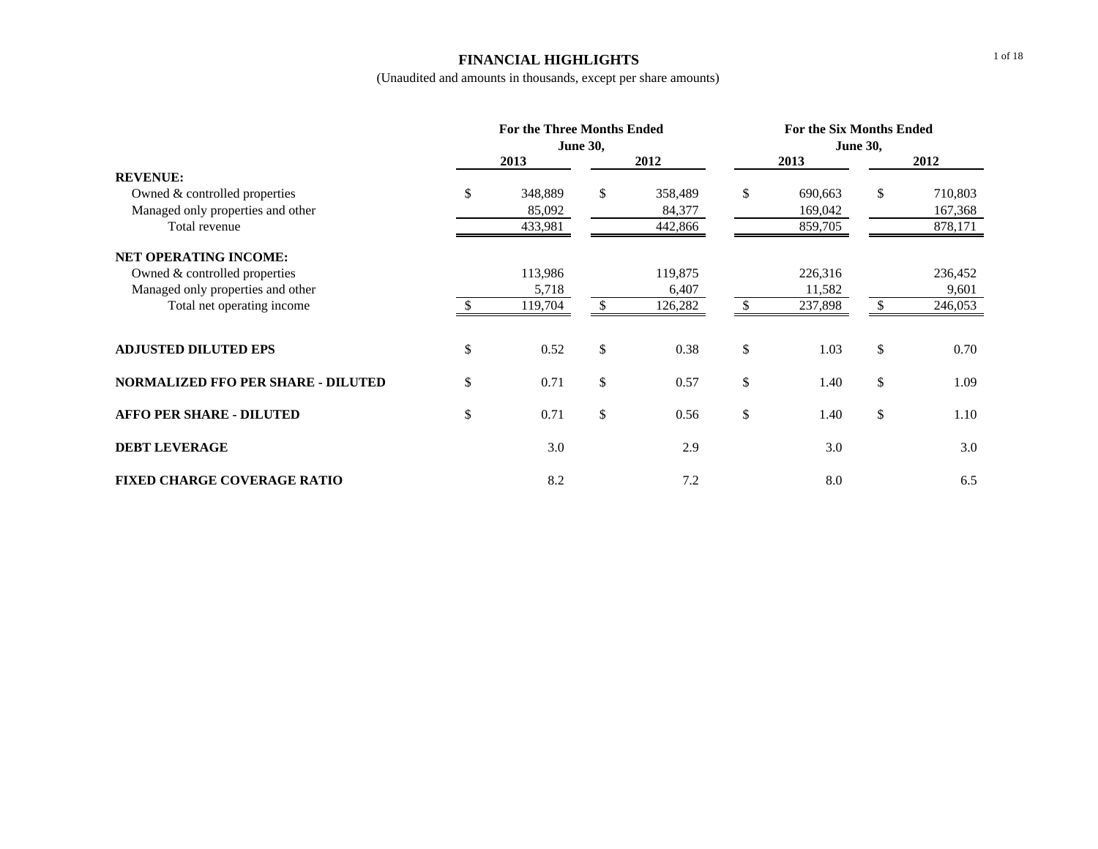#### **FINANCIAL HIGHLIGHTS**

|                                           | <b>For the Three Months Ended</b> |         |                 |         |    | <b>For the Six Months Ended</b> |                 |         |  |  |
|-------------------------------------------|-----------------------------------|---------|-----------------|---------|----|---------------------------------|-----------------|---------|--|--|
|                                           |                                   |         | <b>June 30,</b> |         |    |                                 | <b>June 30,</b> |         |  |  |
|                                           |                                   | 2013    |                 | 2012    |    | 2013                            |                 | 2012    |  |  |
| <b>REVENUE:</b>                           |                                   |         |                 |         |    |                                 |                 |         |  |  |
| Owned & controlled properties             | \$                                | 348,889 | \$              | 358,489 | \$ | 690,663                         | \$              | 710,803 |  |  |
| Managed only properties and other         |                                   | 85,092  |                 | 84,377  |    | 169,042                         |                 | 167,368 |  |  |
| Total revenue                             |                                   | 433,981 |                 | 442,866 |    | 859,705                         |                 | 878,171 |  |  |
| <b>NET OPERATING INCOME:</b>              |                                   |         |                 |         |    |                                 |                 |         |  |  |
| Owned & controlled properties             |                                   | 113,986 |                 | 119,875 |    | 226,316                         |                 | 236,452 |  |  |
| Managed only properties and other         |                                   | 5,718   |                 | 6,407   |    | 11,582                          |                 | 9,601   |  |  |
| Total net operating income                |                                   | 119,704 | \$              | 126,282 | \$ | 237,898                         | \$              | 246,053 |  |  |
|                                           |                                   |         |                 |         |    |                                 |                 |         |  |  |
| <b>ADJUSTED DILUTED EPS</b>               | \$                                | 0.52    | \$              | 0.38    | \$ | 1.03                            | \$              | 0.70    |  |  |
| <b>NORMALIZED FFO PER SHARE - DILUTED</b> | \$                                | 0.71    | \$              | 0.57    | \$ | 1.40                            | \$              | 1.09    |  |  |
| <b>AFFO PER SHARE - DILUTED</b>           | \$                                | 0.71    | \$              | 0.56    | \$ | 1.40                            | \$              | 1.10    |  |  |
| <b>DEBT LEVERAGE</b>                      |                                   | 3.0     |                 | 2.9     |    | 3.0                             |                 | 3.0     |  |  |
| <b>FIXED CHARGE COVERAGE RATIO</b>        |                                   | 8.2     |                 | 7.2     |    | 8.0                             |                 | 6.5     |  |  |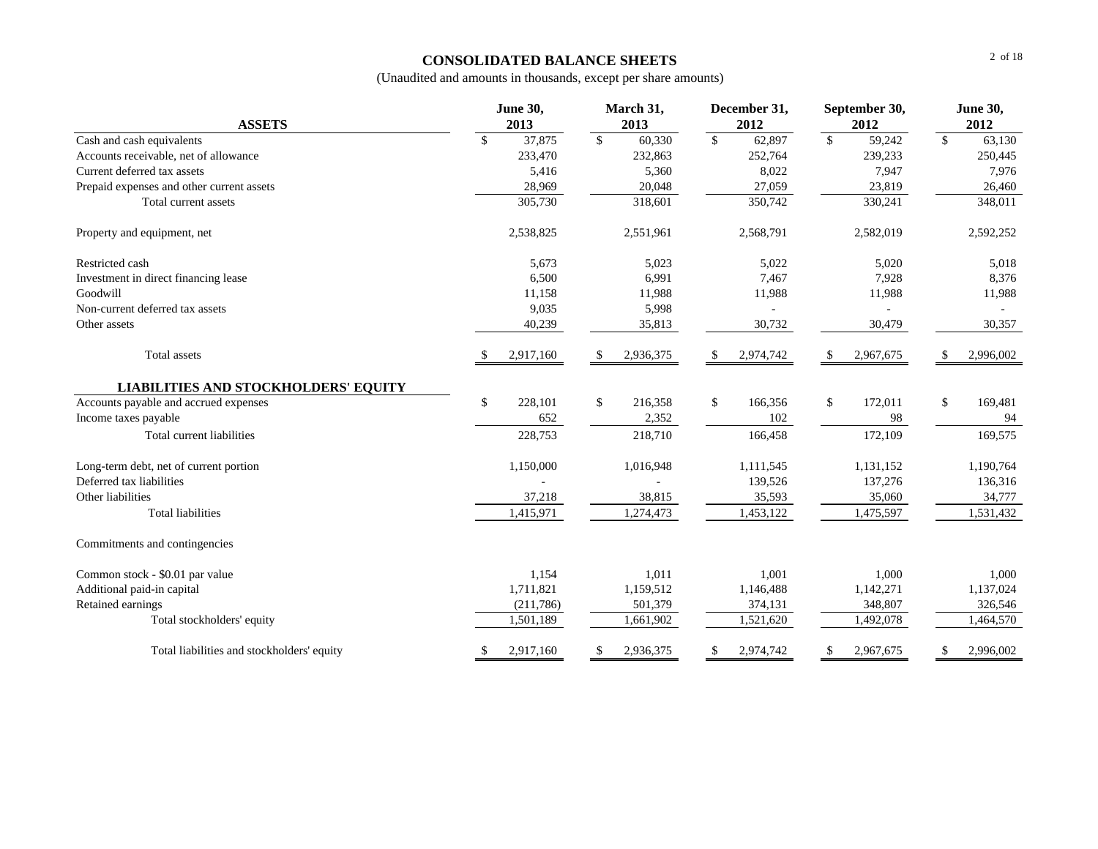### **CONSOLIDATED BALANCE SHEETS**

| <b>ASSETS</b>                               | <b>June 30,</b><br>2013   | March 31,<br>2013       | December 31,<br>2012 | September 30,<br>2012      | <b>June 30,</b><br>2012 |
|---------------------------------------------|---------------------------|-------------------------|----------------------|----------------------------|-------------------------|
| Cash and cash equivalents                   | 37,875<br>\$              | $\mathbb{S}$<br>60,330  | $\sqrt{3}$<br>62,897 | $\mathcal{S}$<br>59,242    | $\mathcal{S}$<br>63,130 |
| Accounts receivable, net of allowance       | 233,470                   | 232,863                 | 252,764              | 239,233                    | 250,445                 |
| Current deferred tax assets                 | 5,416                     | 5,360                   | 8,022                | 7,947                      | 7,976                   |
| Prepaid expenses and other current assets   | 28,969                    | 20,048                  | 27,059               | 23,819                     | 26,460                  |
| Total current assets                        | 305,730                   | 318,601                 | 350,742              | 330,241                    | 348,011                 |
| Property and equipment, net                 | 2,538,825                 | 2,551,961               | 2,568,791            | 2,582,019                  | 2,592,252               |
| Restricted cash                             | 5,673                     | 5,023                   | 5,022                | 5,020                      | 5,018                   |
| Investment in direct financing lease        | 6,500                     | 6,991                   | 7,467                | 7,928                      | 8,376                   |
| Goodwill                                    | 11,158                    | 11,988                  | 11,988               | 11,988                     | 11,988                  |
| Non-current deferred tax assets             | 9,035                     | 5,998                   |                      |                            |                         |
| Other assets                                | 40,239                    | 35,813                  | 30,732               | 30,479                     | 30,357                  |
| Total assets                                | 2,917,160                 | 2,936,375<br>S          | 2,974,742<br>S       | 2,967,675<br>S             | 2,996,002<br>-S         |
| <b>LIABILITIES AND STOCKHOLDERS' EQUITY</b> |                           |                         |                      |                            |                         |
| Accounts payable and accrued expenses       | $\mathbb{S}$<br>228,101   | $\mathbb{S}$<br>216,358 | \$<br>166,356        | \$<br>172,011              | \$<br>169,481           |
| Income taxes payable                        | 652                       | 2,352                   | 102                  | 98                         | 94                      |
| Total current liabilities                   | 228,753                   | 218,710                 | 166,458              | 172,109                    | 169,575                 |
| Long-term debt, net of current portion      | 1,150,000                 | 1,016,948               | 1,111,545            | 1,131,152                  | 1,190,764               |
| Deferred tax liabilities                    |                           |                         | 139,526              | 137,276                    | 136,316                 |
| Other liabilities                           | 37,218                    | 38,815                  | 35,593               | 35,060                     | 34,777                  |
| <b>Total liabilities</b>                    | 1,415,971                 | 1,274,473               | 1,453,122            | 1,475,597                  | 1,531,432               |
| Commitments and contingencies               |                           |                         |                      |                            |                         |
| Common stock - \$0.01 par value             | 1,154                     | 1,011                   | 1,001                | 1,000                      | 1,000                   |
| Additional paid-in capital                  | 1,711,821                 | 1,159,512               | 1,146,488            | 1,142,271                  | 1,137,024               |
| Retained earnings                           | (211,786)                 | 501,379                 | 374,131              | 348,807                    | 326,546                 |
| Total stockholders' equity                  | 1,501,189                 | 1,661,902               | 1,521,620            | 1,492,078                  | 1,464,570               |
| Total liabilities and stockholders' equity  | 2,917,160<br><sup>8</sup> | 2,936,375<br>S          | 2,974,742<br>S.      | 2,967,675<br><sup>\$</sup> | 2,996,002<br>\$         |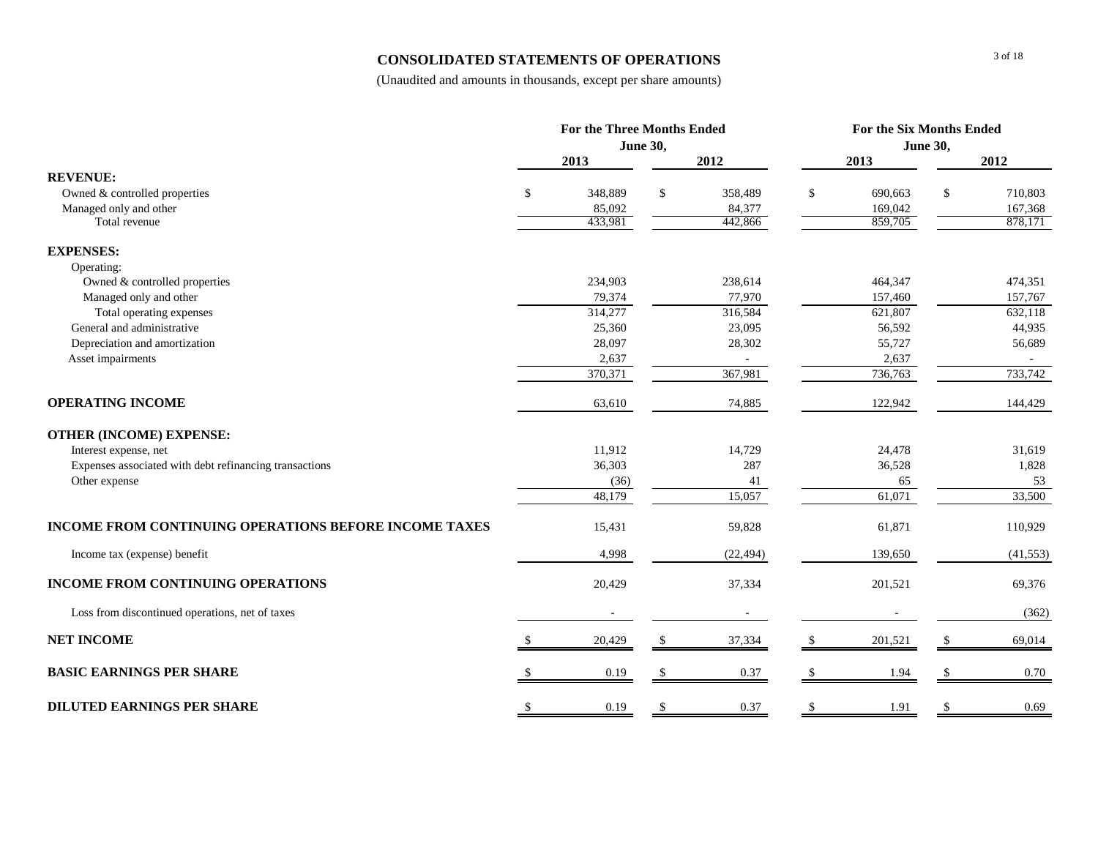### **CONSOLIDATED STATEMENTS OF OPERATIONS**

|                                                        |               | <b>For the Three Months Ended</b> |                 |           | For the Six Months Ended |         |                 |           |
|--------------------------------------------------------|---------------|-----------------------------------|-----------------|-----------|--------------------------|---------|-----------------|-----------|
|                                                        |               |                                   | <b>June 30,</b> |           |                          |         | <b>June 30,</b> |           |
|                                                        |               | 2013                              |                 | 2012      |                          | 2013    |                 | 2012      |
| <b>REVENUE:</b>                                        |               |                                   |                 |           |                          |         |                 |           |
| Owned & controlled properties                          | $\mathbf{\$}$ | 348,889                           | \$              | 358,489   | \$                       | 690,663 | \$              | 710,803   |
| Managed only and other                                 |               | 85,092                            |                 | 84,377    |                          | 169,042 |                 | 167,368   |
| Total revenue                                          |               | 433,981                           |                 | 442,866   |                          | 859,705 |                 | 878,171   |
| <b>EXPENSES:</b>                                       |               |                                   |                 |           |                          |         |                 |           |
| Operating:                                             |               |                                   |                 |           |                          |         |                 |           |
| Owned & controlled properties                          |               | 234,903                           |                 | 238,614   |                          | 464,347 |                 | 474,351   |
| Managed only and other                                 |               | 79,374                            |                 | 77,970    |                          | 157,460 |                 | 157,767   |
| Total operating expenses                               |               | 314,277                           |                 | 316,584   |                          | 621,807 |                 | 632,118   |
| General and administrative                             |               | 25,360                            |                 | 23,095    |                          | 56,592  |                 | 44,935    |
| Depreciation and amortization                          |               | 28,097                            |                 | 28,302    |                          | 55,727  |                 | 56,689    |
| Asset impairments                                      |               | 2,637                             |                 |           |                          | 2,637   |                 |           |
|                                                        |               | 370,371                           |                 | 367,981   |                          | 736,763 |                 | 733,742   |
| <b>OPERATING INCOME</b>                                |               | 63,610                            |                 | 74,885    |                          | 122,942 |                 | 144,429   |
| <b>OTHER (INCOME) EXPENSE:</b>                         |               |                                   |                 |           |                          |         |                 |           |
| Interest expense, net                                  |               | 11,912                            |                 | 14,729    |                          | 24,478  |                 | 31,619    |
| Expenses associated with debt refinancing transactions |               | 36,303                            |                 | 287       |                          | 36,528  |                 | 1,828     |
| Other expense                                          |               | (36)                              |                 | 41        |                          | 65      |                 | 53        |
|                                                        |               | 48,179                            |                 | 15,057    |                          | 61,071  |                 | 33,500    |
| INCOME FROM CONTINUING OPERATIONS BEFORE INCOME TAXES  |               | 15,431                            |                 | 59,828    |                          | 61,871  |                 | 110,929   |
| Income tax (expense) benefit                           |               | 4,998                             |                 | (22, 494) |                          | 139,650 |                 | (41, 553) |
| <b>INCOME FROM CONTINUING OPERATIONS</b>               |               | 20,429                            |                 | 37,334    |                          | 201,521 |                 | 69,376    |
| Loss from discontinued operations, net of taxes        |               |                                   |                 |           |                          |         |                 | (362)     |
| <b>NET INCOME</b>                                      |               | 20,429                            |                 | 37,334    |                          | 201,521 |                 | 69,014    |
| <b>BASIC EARNINGS PER SHARE</b>                        |               | 0.19                              | \$              | 0.37      |                          | 1.94    |                 | 0.70      |
| <b>DILUTED EARNINGS PER SHARE</b>                      | -S            | 0.19                              | S               | 0.37      | <sup>\$</sup>            | 1.91    | -S              | 0.69      |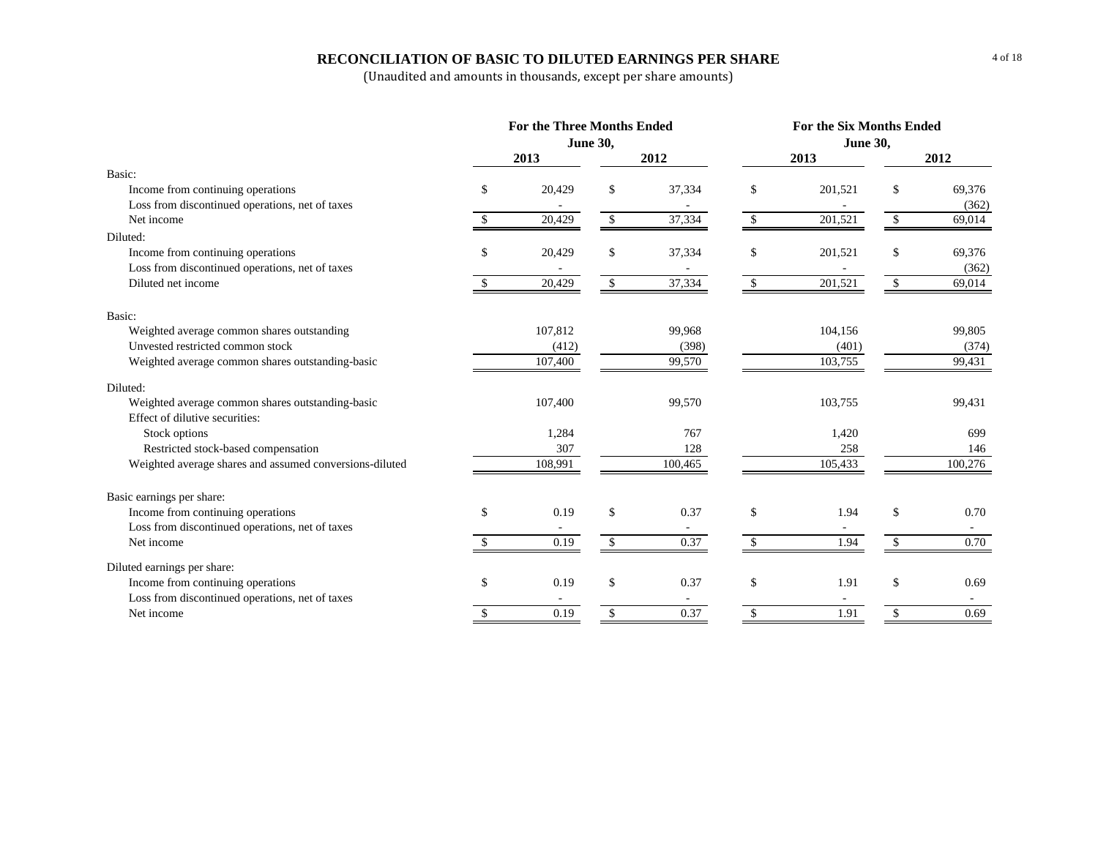#### **RECONCILIATION OF BASIC TO DILUTED EARNINGS PER SHARE**

|                                                                                    |                 | <b>For the Three Months Ended</b> |              |         | <b>For the Six Months Ended</b> |                          |              |         |  |
|------------------------------------------------------------------------------------|-----------------|-----------------------------------|--------------|---------|---------------------------------|--------------------------|--------------|---------|--|
|                                                                                    | <b>June 30,</b> |                                   |              |         | <b>June 30,</b>                 |                          |              |         |  |
|                                                                                    |                 | 2013                              |              | 2012    |                                 | 2013                     |              | 2012    |  |
| Basic:                                                                             |                 |                                   |              |         |                                 |                          |              |         |  |
| Income from continuing operations                                                  | \$              | 20,429                            | \$           | 37,334  | \$                              | 201,521                  | \$           | 69,376  |  |
| Loss from discontinued operations, net of taxes                                    |                 |                                   |              |         |                                 |                          |              | (362)   |  |
| Net income                                                                         | \$              | 20,429                            | \$           | 37,334  | \$                              | 201,521                  | \$           | 69,014  |  |
| Diluted:                                                                           |                 |                                   |              |         |                                 |                          |              |         |  |
| Income from continuing operations                                                  | \$              | 20,429                            | \$           | 37,334  | \$                              | 201,521                  | \$           | 69,376  |  |
| Loss from discontinued operations, net of taxes                                    |                 |                                   |              |         |                                 |                          |              | (362)   |  |
| Diluted net income                                                                 |                 | 20,429                            | \$           | 37,334  | \$                              | 201,521                  | \$           | 69,014  |  |
| Basic:                                                                             |                 |                                   |              |         |                                 |                          |              |         |  |
| Weighted average common shares outstanding                                         |                 | 107,812                           |              | 99,968  |                                 | 104,156                  |              | 99,805  |  |
| Unvested restricted common stock                                                   |                 | (412)                             |              | (398)   |                                 | (401)                    |              | (374)   |  |
| Weighted average common shares outstanding-basic                                   |                 | 107,400                           |              | 99,570  |                                 | 103,755                  |              | 99,431  |  |
| Diluted:                                                                           |                 |                                   |              |         |                                 |                          |              |         |  |
| Weighted average common shares outstanding-basic<br>Effect of dilutive securities: |                 | 107,400                           |              | 99,570  |                                 | 103,755                  |              | 99,431  |  |
| Stock options                                                                      |                 | 1,284                             |              | 767     |                                 | 1,420                    |              | 699     |  |
| Restricted stock-based compensation                                                |                 | 307                               |              | 128     |                                 | 258                      |              | 146     |  |
| Weighted average shares and assumed conversions-diluted                            |                 | 108,991                           |              | 100,465 |                                 | 105,433                  |              | 100,276 |  |
| Basic earnings per share:                                                          |                 |                                   |              |         |                                 |                          |              |         |  |
| Income from continuing operations                                                  | \$              | 0.19                              | \$           | 0.37    | \$                              | 1.94                     | \$           | 0.70    |  |
| Loss from discontinued operations, net of taxes                                    |                 |                                   |              |         |                                 | $\overline{\phantom{a}}$ |              | $\sim$  |  |
| Net income                                                                         | \$.             | 0.19                              | $\mathbb{S}$ | 0.37    | $\mathbb{S}$                    | 1.94                     | $\mathbb{S}$ | 0.70    |  |
| Diluted earnings per share:                                                        |                 |                                   |              |         |                                 |                          |              |         |  |
| Income from continuing operations                                                  | \$              | 0.19                              | \$           | 0.37    | \$                              | 1.91                     | \$           | 0.69    |  |
| Loss from discontinued operations, net of taxes                                    |                 |                                   |              |         |                                 |                          |              |         |  |
| Net income                                                                         | $\mathbb{S}$    | 0.19                              | \$           | 0.37    | \$                              | 1.91                     | \$           | 0.69    |  |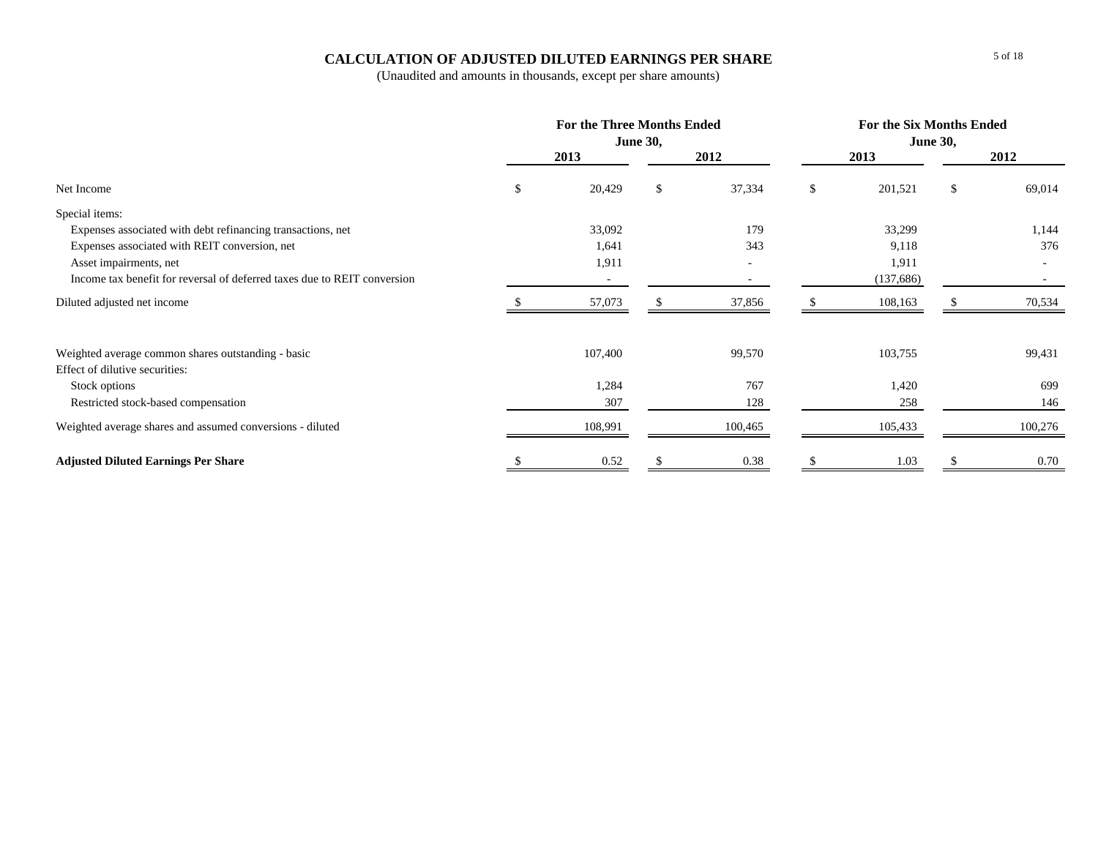### **CALCULATION OF ADJUSTED DILUTED EARNINGS PER SHARE**

|                                                                                      | For the Three Months Ended<br><b>June 30,</b> |                          |    |         | For the Six Months Ended<br><b>June 30,</b> |           |    |                          |
|--------------------------------------------------------------------------------------|-----------------------------------------------|--------------------------|----|---------|---------------------------------------------|-----------|----|--------------------------|
|                                                                                      |                                               | 2013                     |    | 2012    |                                             | 2013      |    | 2012                     |
| Net Income                                                                           | \$                                            | 20,429                   | \$ | 37,334  | \$                                          | 201,521   | \$ | 69,014                   |
| Special items:                                                                       |                                               |                          |    |         |                                             |           |    |                          |
| Expenses associated with debt refinancing transactions, net                          |                                               | 33,092                   |    | 179     |                                             | 33,299    |    | 1,144                    |
| Expenses associated with REIT conversion, net                                        |                                               | 1,641                    |    | 343     |                                             | 9,118     |    | 376                      |
| Asset impairments, net                                                               |                                               | 1,911                    |    |         |                                             | 1,911     |    | $\overline{\phantom{0}}$ |
| Income tax benefit for reversal of deferred taxes due to REIT conversion             |                                               | $\overline{\phantom{a}}$ |    |         |                                             | (137,686) |    |                          |
| Diluted adjusted net income                                                          |                                               | 57,073                   |    | 37,856  |                                             | 108,163   |    | 70,534                   |
| Weighted average common shares outstanding - basic<br>Effect of dilutive securities: |                                               | 107,400                  |    | 99,570  |                                             | 103,755   |    | 99,431                   |
| Stock options                                                                        |                                               | 1,284                    |    | 767     |                                             | 1,420     |    | 699                      |
| Restricted stock-based compensation                                                  |                                               | 307                      |    | 128     |                                             | 258       |    | 146                      |
|                                                                                      |                                               |                          |    |         |                                             |           |    |                          |
| Weighted average shares and assumed conversions - diluted                            |                                               | 108,991                  |    | 100,465 |                                             | 105,433   |    | 100,276                  |
| <b>Adjusted Diluted Earnings Per Share</b>                                           |                                               | 0.52                     |    | 0.38    |                                             | 1.03      |    | 0.70                     |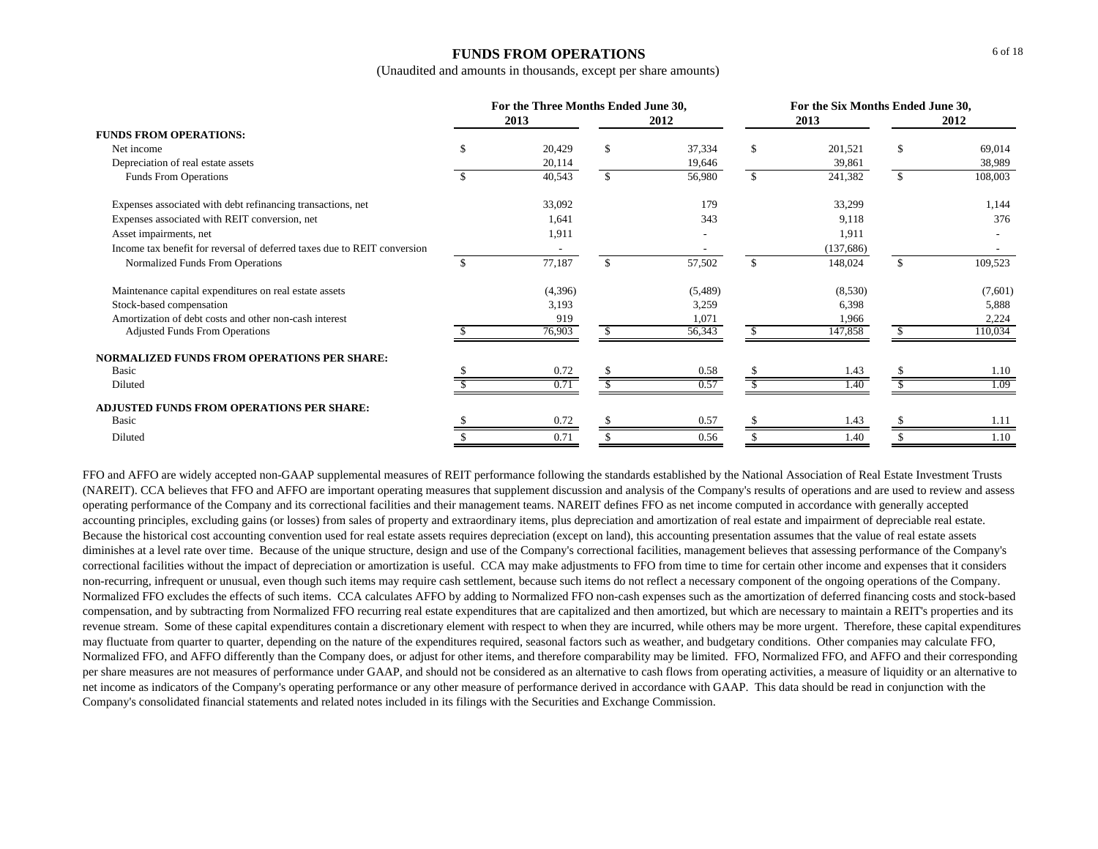## **FUNDS FROM OPERATIONS**

(Unaudited and amounts in thousands, except per share amounts)

|                                                                          | For the Three Months Ended June 30, |     |         |               | For the Six Months Ended June 30, |     |         |  |
|--------------------------------------------------------------------------|-------------------------------------|-----|---------|---------------|-----------------------------------|-----|---------|--|
|                                                                          | 2013                                |     | 2012    |               | 2013                              |     | 2012    |  |
| <b>FUNDS FROM OPERATIONS:</b>                                            |                                     |     |         |               |                                   |     |         |  |
| Net income                                                               | 20,429                              | \$  | 37,334  | \$            | 201,521                           | \$. | 69,014  |  |
| Depreciation of real estate assets                                       | 20,114                              |     | 19,646  |               | 39,861                            |     | 38,989  |  |
| Funds From Operations                                                    | 40,543                              | \$. | 56,980  | <sup>\$</sup> | 241,382                           |     | 108,003 |  |
| Expenses associated with debt refinancing transactions, net              | 33,092                              |     | 179     |               | 33,299                            |     | 1,144   |  |
| Expenses associated with REIT conversion, net                            | 1,641                               |     | 343     |               | 9,118                             |     | 376     |  |
| Asset impairments, net                                                   | 1,911                               |     |         |               | 1,911                             |     |         |  |
| Income tax benefit for reversal of deferred taxes due to REIT conversion |                                     |     |         |               | (137, 686)                        |     |         |  |
| Normalized Funds From Operations                                         | 77,187                              | \$  | 57,502  | \$            | 148,024                           | \$  | 109,523 |  |
| Maintenance capital expenditures on real estate assets                   | (4,396)                             |     | (5,489) |               | (8,530)                           |     | (7,601) |  |
| Stock-based compensation                                                 | 3,193                               |     | 3,259   |               | 6,398                             |     | 5,888   |  |
| Amortization of debt costs and other non-cash interest                   | 919                                 |     | 1,071   |               | 1,966                             |     | 2,224   |  |
| <b>Adjusted Funds From Operations</b>                                    | 76,903                              |     | 56,343  | -S            | 147,858                           |     | 110,034 |  |
| <b>NORMALIZED FUNDS FROM OPERATIONS PER SHARE:</b>                       |                                     |     |         |               |                                   |     |         |  |
| Basic                                                                    | 0.72                                |     | 0.58    |               | 1.43                              |     | 1.10    |  |
| Diluted                                                                  | 0.71                                |     | 0.57    |               | 1.40                              |     | 1.09    |  |
| <b>ADJUSTED FUNDS FROM OPERATIONS PER SHARE:</b>                         |                                     |     |         |               |                                   |     |         |  |
| Basic                                                                    | 0.72                                |     | 0.57    |               | 1.43                              |     | 1.11    |  |
| Diluted                                                                  | 0.71                                |     | 0.56    |               | 1.40                              |     | 1.10    |  |

FFO and AFFO are widely accepted non-GAAP supplemental measures of REIT performance following the standards established by the National Association of Real Estate Investment Trusts (NAREIT). CCA believes that FFO and AFFO are important operating measures that supplement discussion and analysis of the Company's results of operations and are used to review and assess operating performance of the Company and its correctional facilities and their management teams. NAREIT defines FFO as net income computed in accordance with generally accepted accounting principles, excluding gains (or losses) from sales of property and extraordinary items, plus depreciation and amortization of real estate and impairment of depreciable real estate. Because the historical cost accounting convention used for real estate assets requires depreciation (except on land), this accounting presentation assumes that the value of real estate assets diminishes at a level rate over time. Because of the unique structure, design and use of the Company's correctional facilities, management believes that assessing performance of the Company's correctional facilities without the impact of depreciation or amortization is useful. CCA may make adjustments to FFO from time to time for certain other income and expenses that it considers non-recurring, infrequent or unusual, even though such items may require cash settlement, because such items do not reflect a necessary component of the ongoing operations of the Company. Normalized FFO excludes the effects of such items. CCA calculates AFFO by adding to Normalized FFO non-cash expenses such as the amortization of deferred financing costs and stock-based compensation, and by subtracting from Normalized FFO recurring real estate expenditures that are capitalized and then amortized, but which are necessary to maintain a REIT's properties and its revenue stream. Some of these capital expenditures contain a discretionary element with respect to when they are incurred, while others may be more urgent. Therefore, these capital expenditures may fluctuate from quarter to quarter, depending on the nature of the expenditures required, seasonal factors such as weather, and budgetary conditions. Other companies may calculate FFO, Normalized FFO, and AFFO differently than the Company does, or adjust for other items, and therefore comparability may be limited. FFO, Normalized FFO, and AFFO and their corresponding per share measures are not measures of performance under GAAP, and should not be considered as an alternative to cash flows from operating activities, a measure of liquidity or an alternative to net income as indicators of the Company's operating performance or any other measure of performance derived in accordance with GAAP. This data should be read in conjunction with the Company's consolidated financial statements and related notes included in its filings with the Securities and Exchange Commission.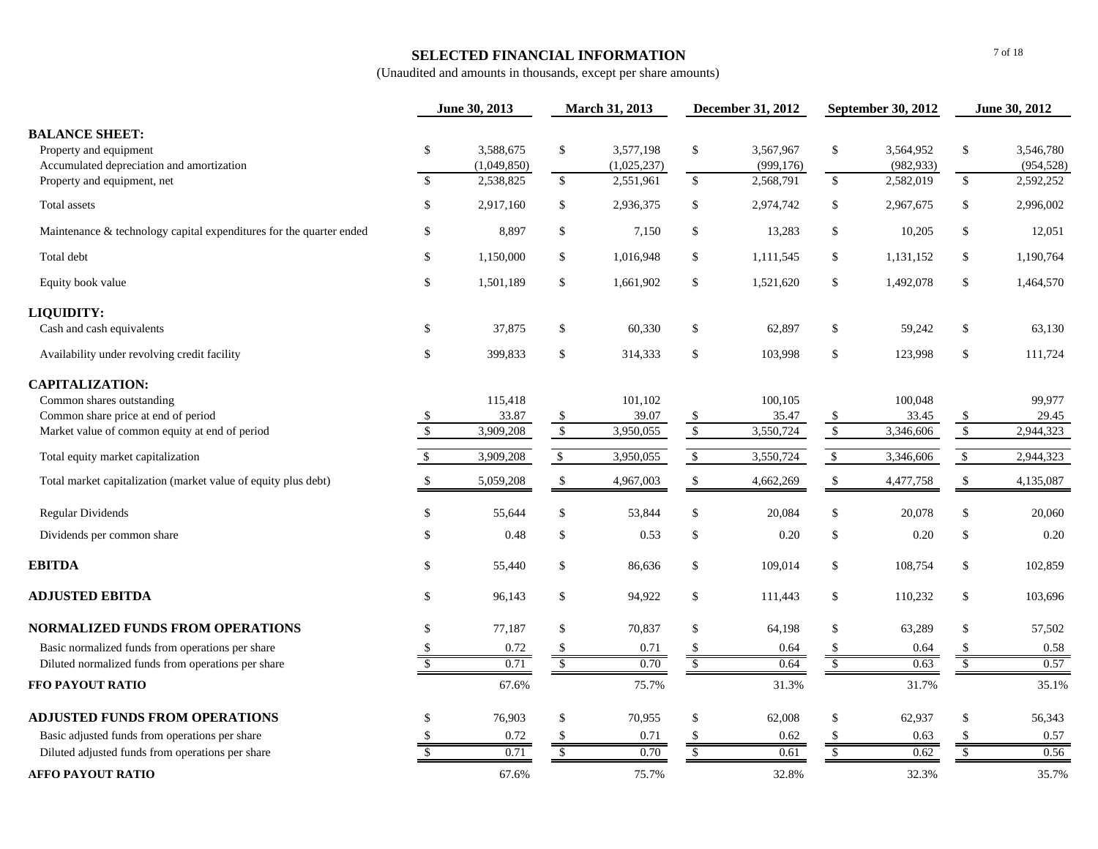### **SELECTED FINANCIAL INFORMATION**

|                                                                                                                                              | June 30, 2013            |                                       | <b>March 31, 2013</b>                    |                                       | <b>December 31, 2012</b>                |                                      | September 30, 2012      |                                      | June 30, 2012                  |                                      |
|----------------------------------------------------------------------------------------------------------------------------------------------|--------------------------|---------------------------------------|------------------------------------------|---------------------------------------|-----------------------------------------|--------------------------------------|-------------------------|--------------------------------------|--------------------------------|--------------------------------------|
| <b>BALANCE SHEET:</b><br>Property and equipment<br>Accumulated depreciation and amortization<br>Property and equipment, net                  | \$<br>$\mathbf{\hat{S}}$ | 3,588,675<br>(1,049,850)<br>2,538,825 | $\mathbb{S}$<br>$\overline{\mathcal{S}}$ | 3,577,198<br>(1,025,237)<br>2,551,961 | $\mathbb{S}$<br>$\sqrt{3}$              | 3,567,967<br>(999, 176)<br>2,568,791 | \$<br>$\sqrt{3}$        | 3,564,952<br>(982, 933)<br>2,582,019 | \$<br>$\overline{\mathcal{S}}$ | 3,546,780<br>(954, 528)<br>2,592,252 |
| Total assets                                                                                                                                 | \$                       | 2,917,160                             | \$                                       | 2,936,375                             | \$                                      | 2,974,742                            | \$                      | 2,967,675                            | \$                             | 2,996,002                            |
| Maintenance & technology capital expenditures for the quarter ended                                                                          | \$                       | 8,897                                 | $\mathbb S$                              | 7,150                                 | \$                                      | 13,283                               | \$                      | 10,205                               | \$                             | 12,051                               |
| Total debt                                                                                                                                   | \$                       | 1,150,000                             | $\mathbb{S}$                             | 1,016,948                             | \$                                      | 1,111,545                            | \$                      | 1,131,152                            | \$                             | 1,190,764                            |
| Equity book value                                                                                                                            | \$                       | 1,501,189                             | \$                                       | 1,661,902                             | \$                                      | 1,521,620                            | \$                      | 1,492,078                            | \$                             | 1,464,570                            |
| LIQUIDITY:                                                                                                                                   |                          |                                       |                                          |                                       |                                         |                                      |                         |                                      |                                |                                      |
| Cash and cash equivalents                                                                                                                    | \$                       | 37,875                                | \$                                       | 60,330                                | \$                                      | 62,897                               | \$                      | 59,242                               | \$                             | 63,130                               |
| Availability under revolving credit facility                                                                                                 | \$                       | 399,833                               | \$                                       | 314,333                               | $\mathbb{S}$                            | 103,998                              | $\mathcal{S}$           | 123,998                              | \$                             | 111.724                              |
| <b>CAPITALIZATION:</b><br>Common shares outstanding<br>Common share price at end of period<br>Market value of common equity at end of period | -\$<br>$\mathsf{\$}$     | 115,418<br>33.87<br>3,909,208         | $\sqrt{3}$<br>$\sqrt{\frac{1}{2}}$       | 101,102<br>39.07<br>3,950,055         | $\boldsymbol{\mathsf{S}}$<br>$\sqrt{3}$ | 100,105<br>35.47<br>3,550,724        | \$<br>$\sqrt{3}$        | 100,048<br>33.45<br>3,346,606        | -\$<br>$\sqrt{\frac{2}{n}}$    | 99.977<br>29.45<br>2,944,323         |
|                                                                                                                                              | $\mathbb{S}$             |                                       |                                          |                                       |                                         |                                      |                         |                                      |                                |                                      |
| Total equity market capitalization                                                                                                           |                          | 3,909,208                             | $\mathsf{\$}$                            | 3,950,055                             | $\mathcal{L}$                           | 3,550,724                            | $\sqrt[6]{3}$           | 3,346,606                            | $\mathbb{S}$                   | 2,944,323                            |
| Total market capitalization (market value of equity plus debt)                                                                               | $\mathbb{S}$             | 5,059,208                             | \$                                       | 4,967,003                             | \$                                      | 4,662,269                            | $\mathbb{S}$            | 4,477,758                            | \$                             | 4,135,087                            |
| Regular Dividends                                                                                                                            | \$                       | 55,644                                | $\mathbb{S}$                             | 53,844                                | $\mathbb{S}$                            | 20,084                               | \$                      | 20,078                               | \$                             | 20,060                               |
| Dividends per common share                                                                                                                   | $\mathcal{S}$            | 0.48                                  | \$                                       | 0.53                                  | \$                                      | 0.20                                 | \$                      | 0.20                                 | \$                             | 0.20                                 |
| <b>EBITDA</b>                                                                                                                                | \$                       | 55,440                                | $\mathbb S$                              | 86,636                                | \$                                      | 109,014                              | \$                      | 108,754                              | \$                             | 102,859                              |
| <b>ADJUSTED EBITDA</b>                                                                                                                       | \$                       | 96,143                                | \$                                       | 94,922                                | \$                                      | 111,443                              | \$                      | 110,232                              | \$                             | 103,696                              |
| <b>NORMALIZED FUNDS FROM OPERATIONS</b>                                                                                                      | $\mathcal{S}$            | 77,187                                | \$                                       | 70,837                                | \$                                      | 64,198                               | \$                      | 63,289                               | \$                             | 57,502                               |
| Basic normalized funds from operations per share                                                                                             | S                        | 0.72                                  | \$                                       | 0.71                                  | \$                                      | 0.64                                 | \$                      | 0.64                                 |                                | 0.58                                 |
| Diluted normalized funds from operations per share                                                                                           | $\overline{\mathcal{S}}$ | 0.71                                  | $\overline{\mathcal{S}}$                 | 0.70                                  | $\overline{\mathcal{S}}$                | 0.64                                 | $\overline{\$}$         | 0.63                                 | $\overline{\$}$                | 0.57                                 |
| FFO PAYOUT RATIO                                                                                                                             |                          | 67.6%                                 |                                          | 75.7%                                 |                                         | 31.3%                                |                         | 31.7%                                |                                | 35.1%                                |
| <b>ADJUSTED FUNDS FROM OPERATIONS</b>                                                                                                        | <sup>\$</sup>            | 76,903                                | $\mathbb{S}$                             | 70,955                                | \$                                      | 62,008                               | \$                      | 62,937                               | \$                             | 56,343                               |
| Basic adjusted funds from operations per share                                                                                               | -S                       | 0.72                                  | \$                                       | 0.71                                  | \$                                      | 0.62                                 | -\$                     | 0.63                                 | \$                             | 0.57                                 |
| Diluted adjusted funds from operations per share                                                                                             | -\$                      | 0.71                                  | $\sqrt{3}$                               | 0.70                                  | $\overline{\mathbf{s}}$                 | 0.61                                 | $\overline{\mathbf{s}}$ | 0.62                                 | \$                             | 0.56                                 |
| AFFO PAYOUT RATIO                                                                                                                            |                          | 67.6%                                 |                                          | 75.7%                                 |                                         | 32.8%                                |                         | 32.3%                                |                                | 35.7%                                |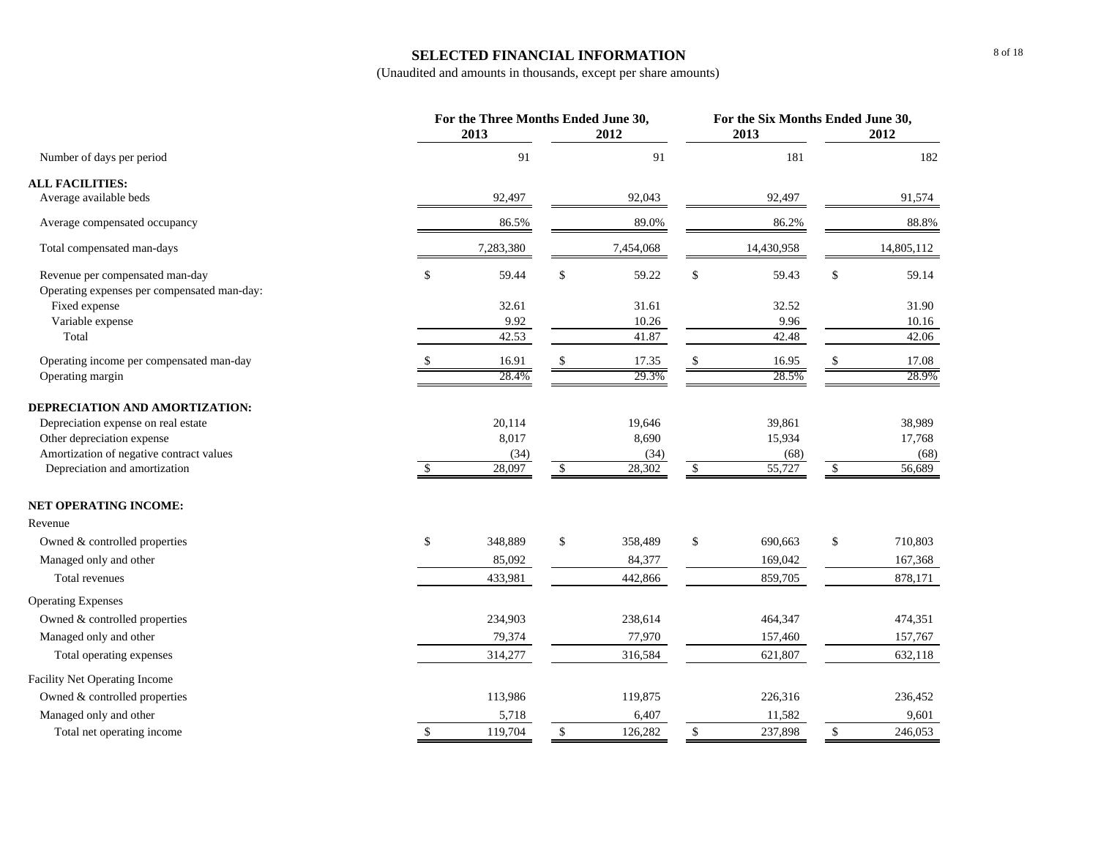### **SELECTED FINANCIAL INFORMATION**

|                                             |                           | For the Three Months Ended June 30, |            |           | For the Six Months Ended June 30, |            |                         |            |
|---------------------------------------------|---------------------------|-------------------------------------|------------|-----------|-----------------------------------|------------|-------------------------|------------|
|                                             |                           | 2013                                |            | 2012      |                                   | 2013       |                         | 2012       |
| Number of days per period                   |                           | 91                                  |            | 91        |                                   | 181        |                         | 182        |
| <b>ALL FACILITIES:</b>                      |                           |                                     |            |           |                                   |            |                         |            |
| Average available beds                      |                           | 92,497                              |            | 92,043    |                                   | 92,497     |                         | 91,574     |
| Average compensated occupancy               |                           | 86.5%                               |            | 89.0%     |                                   | 86.2%      |                         | 88.8%      |
| Total compensated man-days                  |                           | 7,283,380                           |            | 7,454,068 |                                   | 14,430,958 |                         | 14,805,112 |
| Revenue per compensated man-day             | \$                        | 59.44                               | \$         | 59.22     | $\$$                              | 59.43      | \$                      | 59.14      |
| Operating expenses per compensated man-day: |                           |                                     |            |           |                                   |            |                         |            |
| Fixed expense                               |                           | 32.61                               |            | 31.61     |                                   | 32.52      |                         | 31.90      |
| Variable expense                            |                           | 9.92                                |            | 10.26     |                                   | 9.96       |                         | 10.16      |
| Total                                       |                           | 42.53                               |            | 41.87     |                                   | 42.48      |                         | 42.06      |
| Operating income per compensated man-day    |                           | 16.91                               |            | 17.35     |                                   | 16.95      |                         | 17.08      |
| Operating margin                            |                           | 28.4%                               |            | 29.3%     |                                   | 28.5%      |                         | 28.9%      |
| DEPRECIATION AND AMORTIZATION:              |                           |                                     |            |           |                                   |            |                         |            |
| Depreciation expense on real estate         |                           | 20,114                              |            | 19,646    |                                   | 39,861     |                         | 38,989     |
| Other depreciation expense                  |                           | 8,017                               |            | 8,690     |                                   | 15,934     |                         | 17,768     |
| Amortization of negative contract values    |                           | (34)                                |            | (34)      |                                   | (68)       |                         | (68)       |
| Depreciation and amortization               | $\sqrt[6]{\frac{1}{2}}$   | 28,097                              | $\sqrt{3}$ | 28,302    | $\sqrt{3}$                        | 55,727     | $\sqrt[6]{\frac{1}{2}}$ | 56,689     |
| <b>NET OPERATING INCOME:</b>                |                           |                                     |            |           |                                   |            |                         |            |
| Revenue                                     |                           |                                     |            |           |                                   |            |                         |            |
| Owned & controlled properties               | $\mathbf{\hat{S}}$        | 348,889                             | \$         | 358,489   | \$                                | 690,663    | $\mathbb{S}$            | 710,803    |
| Managed only and other                      |                           | 85,092                              |            | 84,377    |                                   | 169,042    |                         | 167,368    |
| <b>Total revenues</b>                       |                           | 433,981                             |            | 442,866   |                                   | 859,705    |                         | 878,171    |
| <b>Operating Expenses</b>                   |                           |                                     |            |           |                                   |            |                         |            |
| Owned & controlled properties               |                           | 234,903                             |            | 238,614   |                                   | 464,347    |                         | 474,351    |
| Managed only and other                      |                           | 79,374                              |            | 77,970    |                                   | 157,460    |                         | 157,767    |
| Total operating expenses                    |                           | 314,277                             |            | 316,584   |                                   | 621,807    |                         | 632,118    |
| Facility Net Operating Income               |                           |                                     |            |           |                                   |            |                         |            |
| Owned & controlled properties               |                           | 113,986                             |            | 119,875   |                                   | 226,316    |                         | 236,452    |
| Managed only and other                      |                           | 5,718                               |            | 6,407     |                                   | 11,582     |                         | 9,601      |
| Total net operating income                  | $\boldsymbol{\mathsf{S}}$ | 119,704                             | \$         | 126,282   | \$                                | 237,898    | \$                      | 246,053    |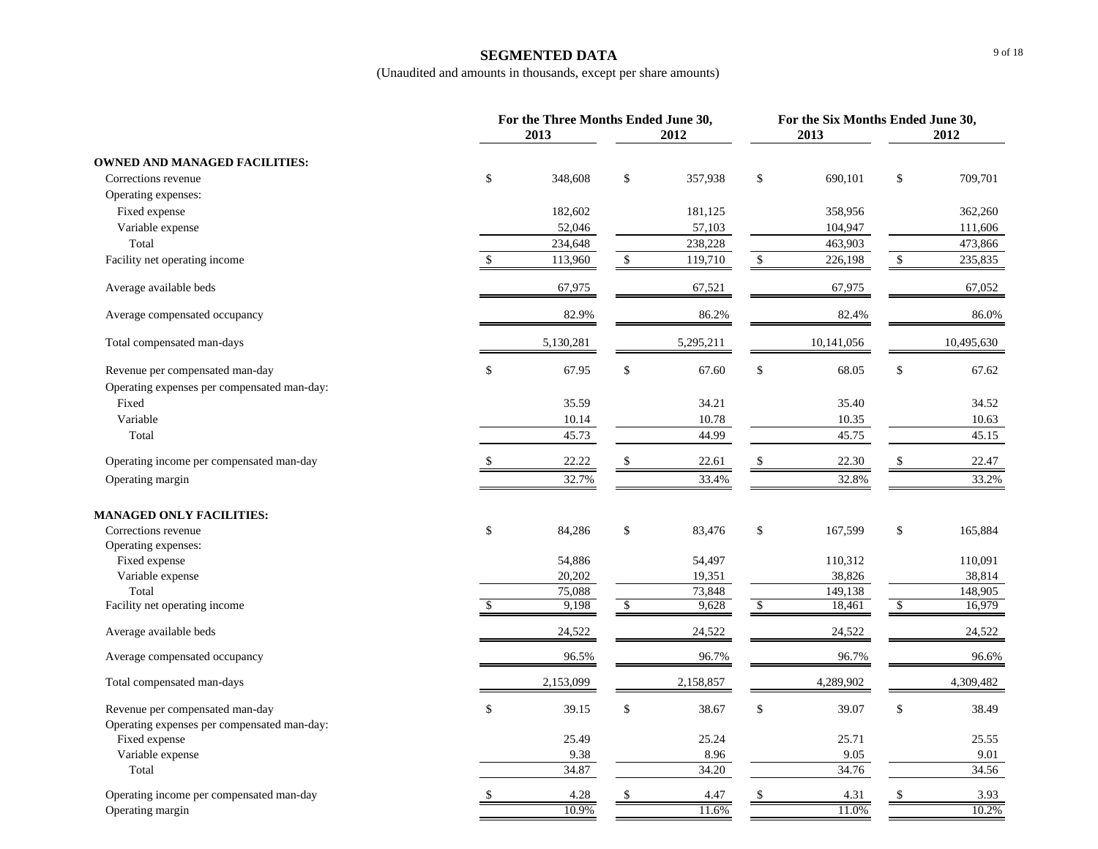#### **SEGMENTED DATA**

|                                             | For the Three Months Ended June 30, |               |           |               |            | For the Six Months Ended June 30, |            |  |
|---------------------------------------------|-------------------------------------|---------------|-----------|---------------|------------|-----------------------------------|------------|--|
|                                             | 2013                                |               | 2012      |               | 2013       |                                   | 2012       |  |
| <b>OWNED AND MANAGED FACILITIES:</b>        |                                     |               |           |               |            |                                   |            |  |
| Corrections revenue                         | \$<br>348,608                       | \$            | 357,938   | \$            | 690,101    | \$                                | 709,701    |  |
| Operating expenses:                         |                                     |               |           |               |            |                                   |            |  |
| Fixed expense                               | 182,602                             |               | 181,125   |               | 358,956    |                                   | 362,260    |  |
| Variable expense                            | 52,046                              |               | 57,103    |               | 104,947    |                                   | 111,606    |  |
| Total                                       | 234,648                             |               | 238,228   |               | 463,903    |                                   | 473,866    |  |
| Facility net operating income               | \$<br>113,960                       | $\mathbb{S}$  | 119,710   | \$            | 226,198    | $\mathbb{S}$                      | 235,835    |  |
| Average available beds                      | 67,975                              |               | 67,521    |               | 67,975     |                                   | 67,052     |  |
| Average compensated occupancy               | 82.9%                               |               | 86.2%     |               | 82.4%      |                                   | 86.0%      |  |
| Total compensated man-days                  | 5,130,281                           |               | 5,295,211 |               | 10,141,056 |                                   | 10,495,630 |  |
| Revenue per compensated man-day             | \$<br>67.95                         | \$            | 67.60     | \$            | 68.05      | $\mathbb{S}$                      | 67.62      |  |
| Operating expenses per compensated man-day: |                                     |               |           |               |            |                                   |            |  |
| Fixed                                       | 35.59                               |               | 34.21     |               | 35.40      |                                   | 34.52      |  |
| Variable                                    | 10.14                               |               | 10.78     |               | 10.35      |                                   | 10.63      |  |
| Total                                       | 45.73                               |               | 44.99     |               | 45.75      |                                   | 45.15      |  |
| Operating income per compensated man-day    | 22.22                               | $\mathcal{S}$ | 22.61     | \$            | 22.30      | \$                                | 22.47      |  |
| Operating margin                            | 32.7%                               |               | 33.4%     |               | 32.8%      |                                   | 33.2%      |  |
| <b>MANAGED ONLY FACILITIES:</b>             |                                     |               |           |               |            |                                   |            |  |
| Corrections revenue                         | \$<br>84,286                        | \$            | 83,476    | \$            | 167,599    | \$                                | 165,884    |  |
| Operating expenses:                         |                                     |               |           |               |            |                                   |            |  |
| Fixed expense                               | 54,886                              |               | 54,497    |               | 110,312    |                                   | 110,091    |  |
| Variable expense                            | 20,202                              |               | 19,351    |               | 38,826     |                                   | 38,814     |  |
| Total                                       | 75,088                              |               | 73,848    |               | 149,138    |                                   | 148,905    |  |
| Facility net operating income               | 9,198                               | -S            | 9,628     | \$            | 18,461     | \$                                | 16,979     |  |
| Average available beds                      | 24,522                              |               | 24,522    |               | 24,522     |                                   | 24,522     |  |
| Average compensated occupancy               | 96.5%                               |               | 96.7%     |               | 96.7%      |                                   | 96.6%      |  |
| Total compensated man-days                  | 2,153,099                           |               | 2,158,857 |               | 4,289,902  |                                   | 4,309,482  |  |
| Revenue per compensated man-day             | \$<br>39.15                         | \$            | 38.67     | $\mathsf{\$}$ | 39.07      | \$                                | 38.49      |  |
| Operating expenses per compensated man-day: |                                     |               |           |               |            |                                   |            |  |
| Fixed expense                               | 25.49                               |               | 25.24     |               | 25.71      |                                   | 25.55      |  |
| Variable expense                            | 9.38                                |               | 8.96      |               | 9.05       |                                   | 9.01       |  |
| Total                                       | 34.87                               |               | 34.20     |               | 34.76      |                                   | 34.56      |  |
| Operating income per compensated man-day    | 4.28                                |               | 4.47      |               | 4.31       |                                   | 3.93       |  |
| Operating margin                            | 10.9%                               |               | 11.6%     |               | 11.0%      |                                   | 10.2%      |  |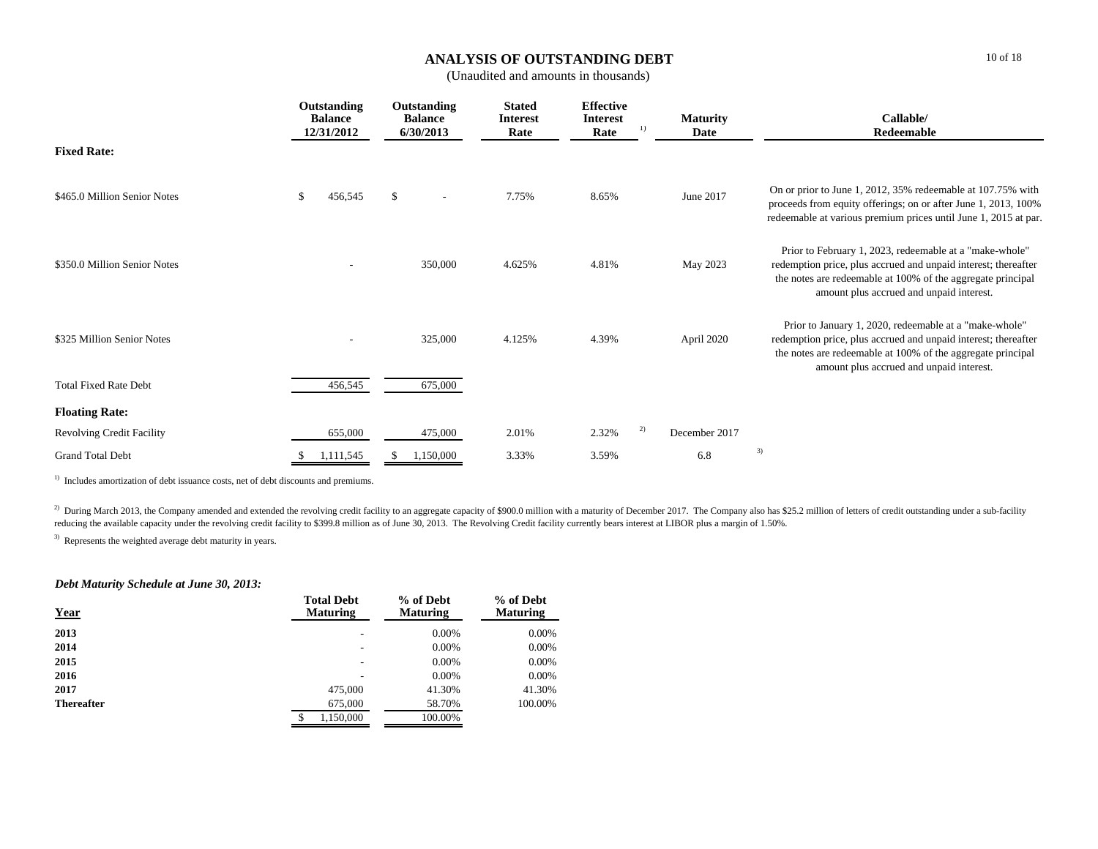# **ANALYSIS OF OUTSTANDING DEBT**

(Unaudited and amounts in thousands)

|                                  | Outstanding<br><b>Balance</b><br>12/31/2012 | Outstanding<br><b>Balance</b><br>6/30/2013 | <b>Stated</b><br><b>Interest</b><br>Rate | <b>Effective</b><br><b>Interest</b><br>1)<br>Rate | <b>Maturity</b><br>Date | Callable/<br>Redeemable                                                                                                                                                                                                              |
|----------------------------------|---------------------------------------------|--------------------------------------------|------------------------------------------|---------------------------------------------------|-------------------------|--------------------------------------------------------------------------------------------------------------------------------------------------------------------------------------------------------------------------------------|
| <b>Fixed Rate:</b>               |                                             |                                            |                                          |                                                   |                         |                                                                                                                                                                                                                                      |
| \$465.0 Million Senior Notes     | 456,545<br>\$                               | \$<br>$\sim$                               | 7.75%                                    | 8.65%                                             | June 2017               | On or prior to June 1, 2012, 35% redeemable at 107.75% with<br>proceeds from equity offerings; on or after June 1, 2013, 100%<br>redeemable at various premium prices until June 1, 2015 at par.                                     |
| \$350.0 Million Senior Notes     |                                             | 350,000                                    | 4.625%                                   | 4.81%                                             | May 2023                | Prior to February 1, 2023, redeemable at a "make-whole"<br>redemption price, plus accrued and unpaid interest; thereafter<br>the notes are redeemable at 100% of the aggregate principal<br>amount plus accrued and unpaid interest. |
| \$325 Million Senior Notes       |                                             | 325,000                                    | 4.125%                                   | 4.39%                                             | April 2020              | Prior to January 1, 2020, redeemable at a "make-whole"<br>redemption price, plus accrued and unpaid interest; thereafter<br>the notes are redeemable at 100% of the aggregate principal<br>amount plus accrued and unpaid interest.  |
| <b>Total Fixed Rate Debt</b>     | 456,545                                     | 675,000                                    |                                          |                                                   |                         |                                                                                                                                                                                                                                      |
| <b>Floating Rate:</b>            |                                             |                                            |                                          |                                                   |                         |                                                                                                                                                                                                                                      |
| <b>Revolving Credit Facility</b> | 655,000                                     | 475,000                                    | 2.01%                                    | 2)<br>2.32%                                       | December 2017           |                                                                                                                                                                                                                                      |
| <b>Grand Total Debt</b>          | 1,111,545                                   | 1,150,000                                  | 3.33%                                    | 3.59%                                             | 6.8                     | 3)                                                                                                                                                                                                                                   |

<sup>1)</sup> Includes amortization of debt issuance costs, net of debt discounts and premiums.

<sup>2)</sup> During March 2013, the Company amended and extended the revolving credit facility to an aggregate capacity of \$900.0 million with a maturity of December 2017. The Company also has \$25.2 million of letters of credit ou reducing the available capacity under the revolving credit facility to \$399.8 million as of June 30, 2013. The Revolving Credit facility currently bears interest at LIBOR plus a margin of 1.50%.

<sup>3)</sup> Represents the weighted average debt maturity in years.

*Debt Maturity Schedule at June 30, 2013:*

| Year              | <b>Total Debt</b><br><b>Maturing</b> | % of Debt<br><b>Maturing</b> | % of Debt<br><b>Maturing</b> |
|-------------------|--------------------------------------|------------------------------|------------------------------|
| 2013              |                                      | $0.00\%$                     | 0.00%                        |
| 2014              |                                      | $0.00\%$                     | $0.00\%$                     |
| 2015              |                                      | $0.00\%$                     | $0.00\%$                     |
| 2016              |                                      | $0.00\%$                     | $0.00\%$                     |
| 2017              | 475,000                              | 41.30%                       | 41.30%                       |
| <b>Thereafter</b> | 675,000                              | 58.70%                       | 100.00%                      |
|                   | \$<br>1,150,000                      | 100.00%                      |                              |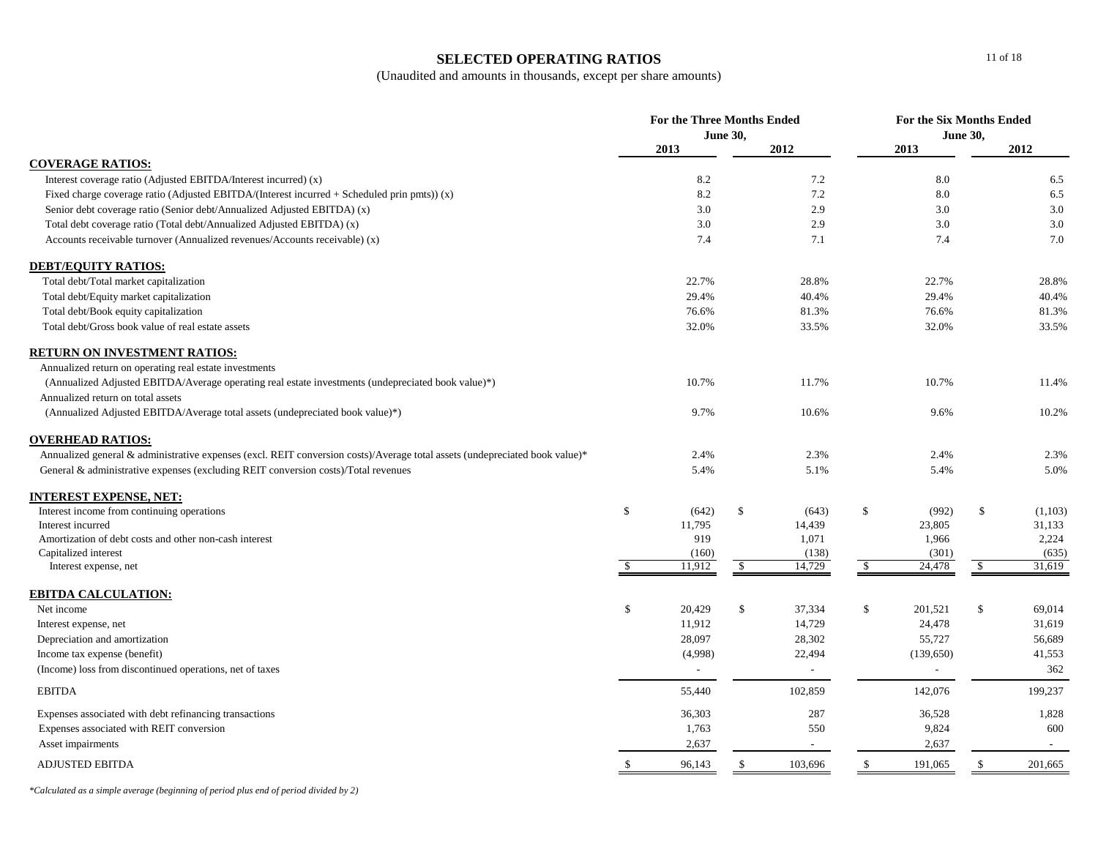### **SELECTED OPERATING RATIOS**

(Unaudited and amounts in thousands, except per share amounts)

|                                                                                                                             | <b>For the Three Months Ended</b><br><b>June 30,</b> |         |              |         | <b>For the Six Months Ended</b><br><b>June 30,</b> |                          |               |         |
|-----------------------------------------------------------------------------------------------------------------------------|------------------------------------------------------|---------|--------------|---------|----------------------------------------------------|--------------------------|---------------|---------|
|                                                                                                                             |                                                      | 2013    |              | 2012    |                                                    | 2013                     |               | 2012    |
| <b>COVERAGE RATIOS:</b>                                                                                                     |                                                      |         |              |         |                                                    |                          |               |         |
| Interest coverage ratio (Adjusted EBITDA/Interest incurred) (x)                                                             |                                                      | 8.2     |              | 7.2     |                                                    | 8.0                      |               | 6.5     |
| Fixed charge coverage ratio (Adjusted EBITDA/(Interest incurred $+$ Scheduled prin pmts)) (x)                               |                                                      | 8.2     |              | 7.2     |                                                    | 8.0                      |               | 6.5     |
| Senior debt coverage ratio (Senior debt/Annualized Adjusted EBITDA) (x)                                                     |                                                      | 3.0     |              | 2.9     |                                                    | 3.0                      |               | 3.0     |
| Total debt coverage ratio (Total debt/Annualized Adjusted EBITDA) (x)                                                       |                                                      | 3.0     |              | 2.9     |                                                    | 3.0                      |               | 3.0     |
| Accounts receivable turnover (Annualized revenues/Accounts receivable) (x)                                                  |                                                      | 7.4     |              | 7.1     |                                                    | 7.4                      |               | 7.0     |
| <b>DEBT/EQUITY RATIOS:</b>                                                                                                  |                                                      |         |              |         |                                                    |                          |               |         |
| Total debt/Total market capitalization                                                                                      |                                                      | 22.7%   |              | 28.8%   |                                                    | 22.7%                    |               | 28.8%   |
| Total debt/Equity market capitalization                                                                                     |                                                      | 29.4%   |              | 40.4%   |                                                    | 29.4%                    |               | 40.4%   |
| Total debt/Book equity capitalization                                                                                       |                                                      | 76.6%   |              | 81.3%   |                                                    | 76.6%                    |               | 81.3%   |
| Total debt/Gross book value of real estate assets                                                                           |                                                      | 32.0%   |              | 33.5%   |                                                    | 32.0%                    |               | 33.5%   |
| <b>RETURN ON INVESTMENT RATIOS:</b>                                                                                         |                                                      |         |              |         |                                                    |                          |               |         |
| Annualized return on operating real estate investments                                                                      |                                                      |         |              |         |                                                    |                          |               |         |
| (Annualized Adjusted EBITDA/Average operating real estate investments (undepreciated book value)*)                          |                                                      | 10.7%   |              | 11.7%   |                                                    | 10.7%                    |               | 11.4%   |
| Annualized return on total assets                                                                                           |                                                      |         |              |         |                                                    |                          |               |         |
| (Annualized Adjusted EBITDA/Average total assets (undepreciated book value)*)                                               |                                                      | 9.7%    |              | 10.6%   |                                                    | 9.6%                     |               | 10.2%   |
| <b>OVERHEAD RATIOS:</b>                                                                                                     |                                                      |         |              |         |                                                    |                          |               |         |
| Annualized general & administrative expenses (excl. REIT conversion costs)/Average total assets (undepreciated book value)* |                                                      | 2.4%    |              | 2.3%    |                                                    | 2.4%                     |               | 2.3%    |
| General & administrative expenses (excluding REIT conversion costs)/Total revenues                                          |                                                      | 5.4%    |              | 5.1%    |                                                    | 5.4%                     |               | 5.0%    |
| <u>INTEREST EXPENSE, NET:</u>                                                                                               |                                                      |         |              |         |                                                    |                          |               |         |
| Interest income from continuing operations                                                                                  | \$                                                   | (642)   | \$           | (643)   | \$                                                 | (992)                    | \$            | (1,103) |
| Interest incurred                                                                                                           |                                                      | 11,795  |              | 14,439  |                                                    | 23,805                   |               | 31,133  |
| Amortization of debt costs and other non-cash interest                                                                      |                                                      | 919     |              | 1,071   |                                                    | 1,966                    |               | 2,224   |
| Capitalized interest                                                                                                        |                                                      | (160)   |              | (138)   |                                                    | (301)                    |               | (635)   |
| Interest expense, net                                                                                                       | -S                                                   | 11,912  | \$           | 14,729  | \$                                                 | 24,478                   | <sup>\$</sup> | 31,619  |
| EBITDA CALCULATION:                                                                                                         |                                                      |         |              |         |                                                    |                          |               |         |
| Net income                                                                                                                  | \$                                                   | 20,429  | \$           | 37,334  | \$                                                 | 201,521                  | \$            | 69,014  |
| Interest expense, net                                                                                                       |                                                      | 11,912  |              | 14,729  |                                                    | 24,478                   |               | 31,619  |
| Depreciation and amortization                                                                                               |                                                      | 28,097  |              | 28,302  |                                                    | 55,727                   |               | 56,689  |
| Income tax expense (benefit)                                                                                                |                                                      | (4,998) |              | 22,494  |                                                    | (139,650)                |               | 41,553  |
| (Income) loss from discontinued operations, net of taxes                                                                    |                                                      | $\sim$  |              | $\sim$  |                                                    | $\overline{\phantom{a}}$ |               | 362     |
| <b>EBITDA</b>                                                                                                               |                                                      | 55,440  |              | 102,859 |                                                    | 142,076                  |               | 199,237 |
| Expenses associated with debt refinancing transactions                                                                      |                                                      | 36,303  |              | 287     |                                                    | 36,528                   |               | 1,828   |
| Expenses associated with REIT conversion                                                                                    |                                                      | 1,763   |              | 550     |                                                    | 9,824                    |               | 600     |
| Asset impairments                                                                                                           |                                                      | 2,637   |              | $\sim$  |                                                    | 2,637                    |               | $\sim$  |
| <b>ADJUSTED EBITDA</b>                                                                                                      | -S                                                   | 96,143  | <sup>S</sup> | 103,696 | -S                                                 | 191,065                  | <sup>\$</sup> | 201,665 |

*\*Calculated as a simple average (beginning of period plus end of period divided by 2)*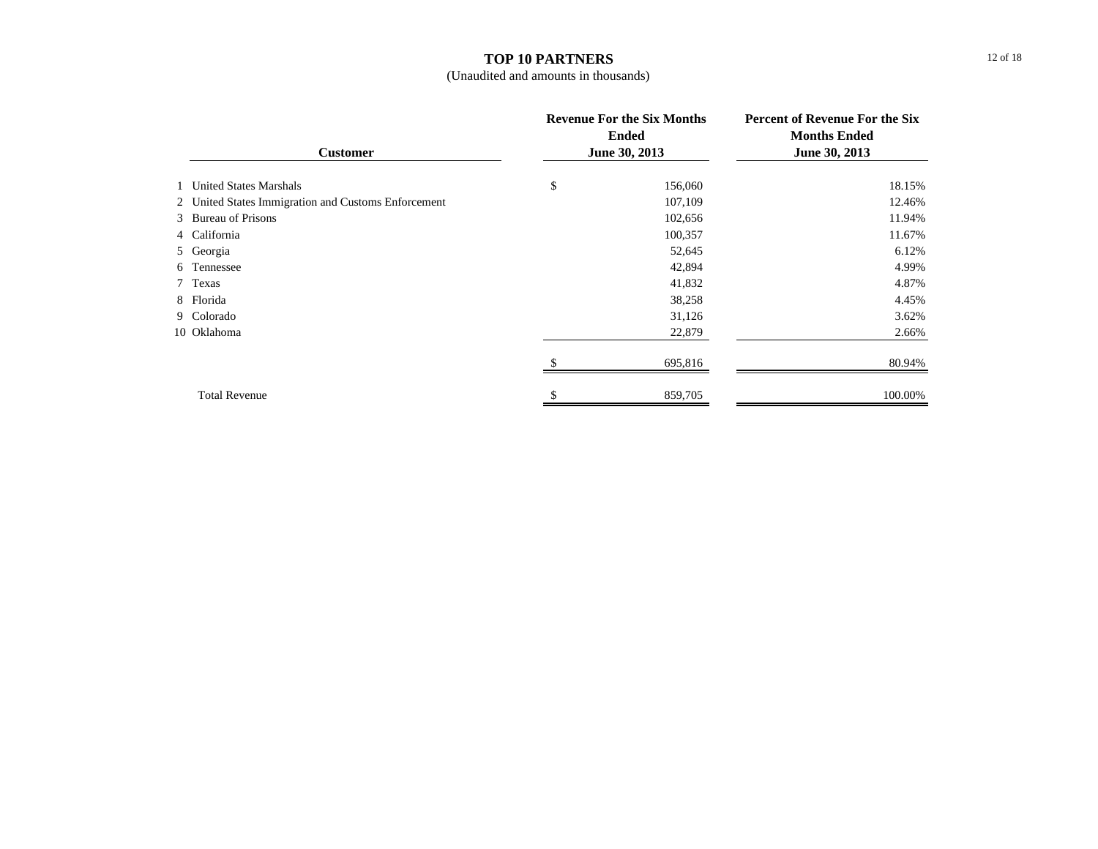#### **TOP 10 PARTNERS**

# (Unaudited and amounts in thousands)

| <b>Customer</b> |                                                     | <b>Revenue For the Six Months</b><br><b>Ended</b><br>June 30, 2013 |         | <b>Percent of Revenue For the Six</b><br><b>Months Ended</b><br>June 30, 2013 |  |
|-----------------|-----------------------------------------------------|--------------------------------------------------------------------|---------|-------------------------------------------------------------------------------|--|
|                 | 1 United States Marshals                            | \$                                                                 | 156,060 | 18.15%                                                                        |  |
|                 | 2 United States Immigration and Customs Enforcement |                                                                    | 107,109 | 12.46%                                                                        |  |
|                 | 3 Bureau of Prisons                                 |                                                                    | 102,656 | 11.94%                                                                        |  |
|                 | 4 California                                        |                                                                    | 100,357 | 11.67%                                                                        |  |
|                 | 5 Georgia                                           |                                                                    | 52,645  | 6.12%                                                                         |  |
|                 | 6 Tennessee                                         |                                                                    | 42,894  | 4.99%                                                                         |  |
|                 | 7 Texas                                             |                                                                    | 41,832  | 4.87%                                                                         |  |
|                 | 8 Florida                                           |                                                                    | 38,258  | 4.45%                                                                         |  |
|                 | 9 Colorado                                          |                                                                    | 31,126  | 3.62%                                                                         |  |
|                 | 10 Oklahoma                                         |                                                                    | 22,879  | 2.66%                                                                         |  |
|                 |                                                     |                                                                    | 695,816 | 80.94%                                                                        |  |
|                 | <b>Total Revenue</b>                                |                                                                    | 859,705 | 100.00%                                                                       |  |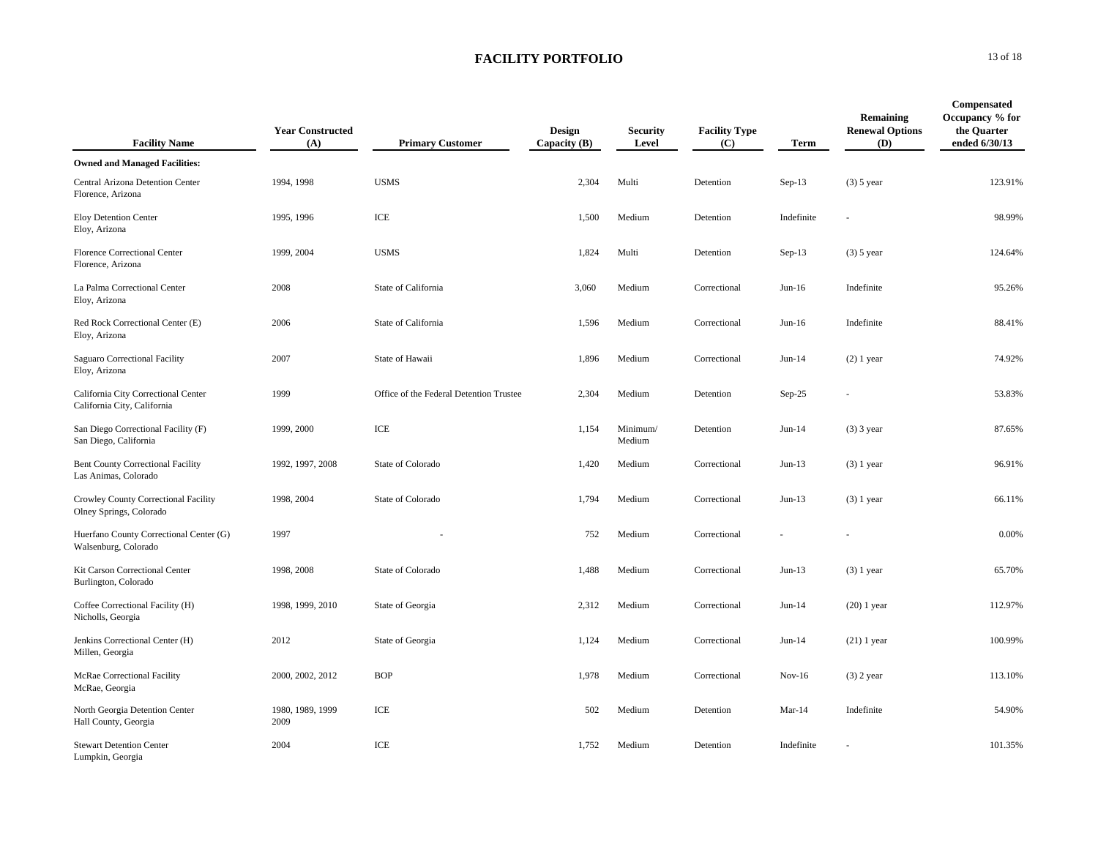| <b>Facility Name</b>                                               | <b>Year Constructed</b><br>(A) | <b>Primary Customer</b>                 | Design<br>Capacity (B) | <b>Security</b><br>Level | <b>Facility Type</b><br>(C) | Term       | Remaining<br><b>Renewal Options</b><br>(D) | Compensated<br>Occupancy % for<br>the Quarter<br>ended 6/30/13 |
|--------------------------------------------------------------------|--------------------------------|-----------------------------------------|------------------------|--------------------------|-----------------------------|------------|--------------------------------------------|----------------------------------------------------------------|
| <b>Owned and Managed Facilities:</b>                               |                                |                                         |                        |                          |                             |            |                                            |                                                                |
| Central Arizona Detention Center<br>Florence, Arizona              | 1994, 1998                     | <b>USMS</b>                             | 2,304                  | Multi                    | Detention                   | $Sep-13$   | $(3)$ 5 year                               | 123.91%                                                        |
| Eloy Detention Center<br>Eloy, Arizona                             | 1995, 1996                     | ICE                                     | 1,500                  | Medium                   | Detention                   | Indefinite |                                            | 98.99%                                                         |
| Florence Correctional Center<br>Florence, Arizona                  | 1999, 2004                     | <b>USMS</b>                             | 1,824                  | Multi                    | Detention                   | $Sep-13$   | $(3)$ 5 year                               | 124.64%                                                        |
| La Palma Correctional Center<br>Eloy, Arizona                      | 2008                           | State of California                     | 3,060                  | Medium                   | Correctional                | $Jun-16$   | Indefinite                                 | 95.26%                                                         |
| Red Rock Correctional Center (E)<br>Eloy, Arizona                  | 2006                           | State of California                     | 1,596                  | Medium                   | Correctional                | $Jun-16$   | Indefinite                                 | 88.41%                                                         |
| Saguaro Correctional Facility<br>Eloy, Arizona                     | 2007                           | State of Hawaii                         | 1,896                  | Medium                   | Correctional                | $Jun-14$   | $(2)$ 1 year                               | 74.92%                                                         |
| California City Correctional Center<br>California City, California | 1999                           | Office of the Federal Detention Trustee | 2,304                  | Medium                   | Detention                   | $Sep-25$   |                                            | 53.83%                                                         |
| San Diego Correctional Facility (F)<br>San Diego, California       | 1999, 2000                     | ICE                                     | 1,154                  | Minimum/<br>Medium       | Detention                   | $Jun-14$   | $(3)$ 3 year                               | 87.65%                                                         |
| <b>Bent County Correctional Facility</b><br>Las Animas, Colorado   | 1992, 1997, 2008               | State of Colorado                       | 1,420                  | Medium                   | Correctional                | $Jun-13$   | $(3)$ 1 year                               | 96.91%                                                         |
| Crowley County Correctional Facility<br>Olney Springs, Colorado    | 1998, 2004                     | State of Colorado                       | 1,794                  | Medium                   | Correctional                | $Jun-13$   | $(3)$ 1 year                               | 66.11%                                                         |
| Huerfano County Correctional Center (G)<br>Walsenburg, Colorado    | 1997                           |                                         | 752                    | Medium                   | Correctional                |            |                                            | 0.00%                                                          |
| Kit Carson Correctional Center<br>Burlington, Colorado             | 1998, 2008                     | State of Colorado                       | 1,488                  | Medium                   | Correctional                | $Jun-13$   | $(3)$ 1 year                               | 65.70%                                                         |
| Coffee Correctional Facility (H)<br>Nicholls, Georgia              | 1998, 1999, 2010               | State of Georgia                        | 2,312                  | Medium                   | Correctional                | $Jun-14$   | $(20)$ 1 year                              | 112.97%                                                        |
| Jenkins Correctional Center (H)<br>Millen, Georgia                 | 2012                           | State of Georgia                        | 1,124                  | Medium                   | Correctional                | $Jun-14$   | $(21)$ 1 year                              | 100.99%                                                        |
| McRae Correctional Facility<br>McRae, Georgia                      | 2000, 2002, 2012               | <b>BOP</b>                              | 1,978                  | Medium                   | Correctional                | $Nov-16$   | $(3)$ 2 year                               | 113.10%                                                        |
| North Georgia Detention Center<br>Hall County, Georgia             | 1980, 1989, 1999<br>2009       | ICE                                     | 502                    | Medium                   | Detention                   | $Mar-14$   | Indefinite                                 | 54.90%                                                         |
| <b>Stewart Detention Center</b><br>Lumpkin, Georgia                | 2004                           | ICE                                     | 1,752                  | Medium                   | Detention                   | Indefinite |                                            | 101.35%                                                        |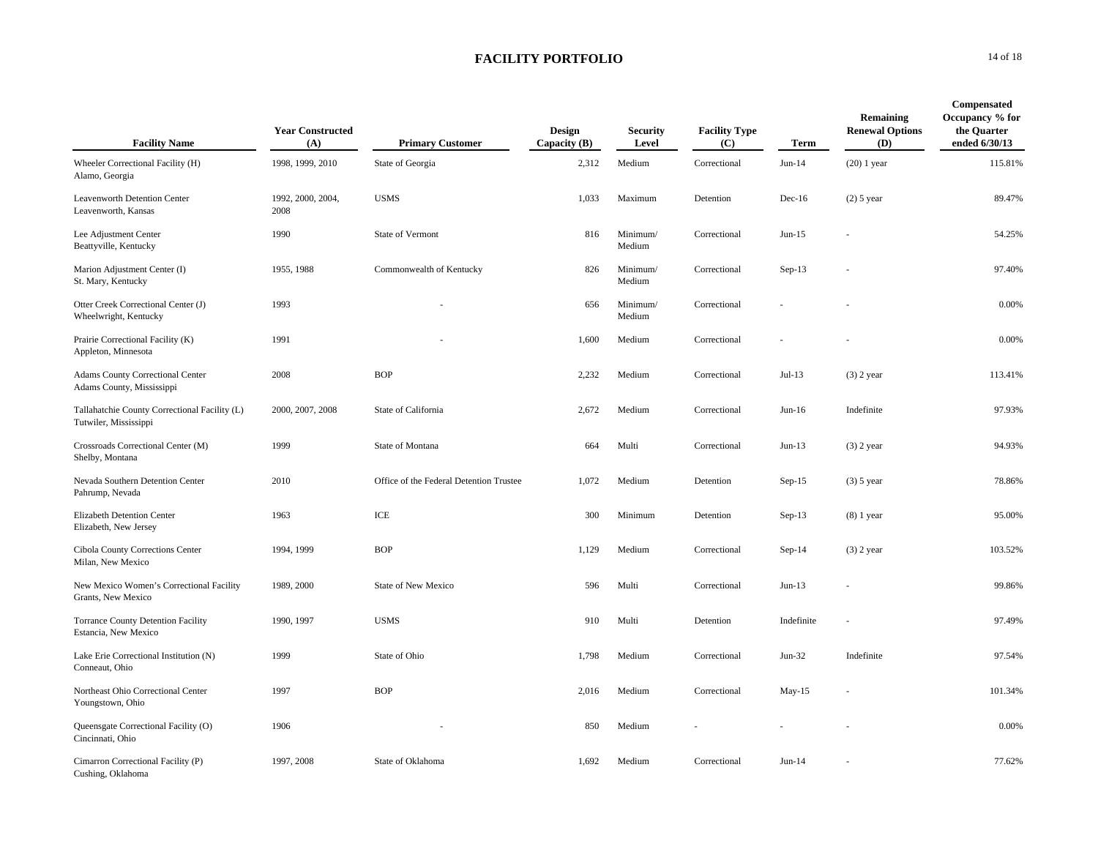| <b>Facility Name</b>                                                   | <b>Year Constructed</b><br>(A) | <b>Primary Customer</b>                 | <b>Design</b><br>Capacity (B) | <b>Security</b><br>Level | <b>Facility Type</b><br>(C) | <b>Term</b> | Remaining<br><b>Renewal Options</b><br>(D) | Compensated<br>Occupancy % for<br>the Quarter<br>ended 6/30/13 |
|------------------------------------------------------------------------|--------------------------------|-----------------------------------------|-------------------------------|--------------------------|-----------------------------|-------------|--------------------------------------------|----------------------------------------------------------------|
| Wheeler Correctional Facility (H)<br>Alamo, Georgia                    | 1998, 1999, 2010               | State of Georgia                        | 2,312                         | Medium                   | Correctional                | $Jun-14$    | $(20)$ 1 year                              | 115.81%                                                        |
| Leavenworth Detention Center<br>Leavenworth, Kansas                    | 1992, 2000, 2004,<br>2008      | <b>USMS</b>                             | 1,033                         | Maximum                  | Detention                   | $Dec-16$    | $(2)$ 5 year                               | 89.47%                                                         |
| Lee Adjustment Center<br>Beattyville, Kentucky                         | 1990                           | State of Vermont                        | 816                           | Minimum/<br>Medium       | Correctional                | $Jun-15$    |                                            | 54.25%                                                         |
| Marion Adjustment Center (I)<br>St. Mary, Kentucky                     | 1955, 1988                     | Commonwealth of Kentucky                | 826                           | Minimum/<br>Medium       | Correctional                | $Sep-13$    |                                            | 97.40%                                                         |
| Otter Creek Correctional Center (J)<br>Wheelwright, Kentucky           | 1993                           |                                         | 656                           | Minimum/<br>Medium       | Correctional                |             |                                            | 0.00%                                                          |
| Prairie Correctional Facility (K)<br>Appleton, Minnesota               | 1991                           |                                         | 1,600                         | Medium                   | Correctional                |             |                                            | 0.00%                                                          |
| <b>Adams County Correctional Center</b><br>Adams County, Mississippi   | 2008                           | <b>BOP</b>                              | 2,232                         | Medium                   | Correctional                | $Jul-13$    | $(3)$ 2 year                               | 113.41%                                                        |
| Tallahatchie County Correctional Facility (L)<br>Tutwiler, Mississippi | 2000, 2007, 2008               | State of California                     | 2,672                         | Medium                   | Correctional                | $Jun-16$    | Indefinite                                 | 97.93%                                                         |
| Crossroads Correctional Center (M)<br>Shelby, Montana                  | 1999                           | State of Montana                        | 664                           | Multi                    | Correctional                | $Jun-13$    | $(3)$ 2 year                               | 94.93%                                                         |
| Nevada Southern Detention Center<br>Pahrump, Nevada                    | 2010                           | Office of the Federal Detention Trustee | 1,072                         | Medium                   | Detention                   | $Sep-15$    | $(3)$ 5 year                               | 78.86%                                                         |
| Elizabeth Detention Center<br>Elizabeth, New Jersey                    | 1963                           | ICE                                     | 300                           | Minimum                  | Detention                   | Sep-13      | $(8)$ 1 year                               | 95.00%                                                         |
| Cibola County Corrections Center<br>Milan, New Mexico                  | 1994, 1999                     | <b>BOP</b>                              | 1,129                         | Medium                   | Correctional                | $Sep-14$    | $(3)$ 2 year                               | 103.52%                                                        |
| New Mexico Women's Correctional Facility<br>Grants, New Mexico         | 1989, 2000                     | <b>State of New Mexico</b>              | 596                           | Multi                    | Correctional                | $Jun-13$    |                                            | 99.86%                                                         |
| <b>Torrance County Detention Facility</b><br>Estancia, New Mexico      | 1990, 1997                     | <b>USMS</b>                             | 910                           | Multi                    | Detention                   | Indefinite  |                                            | 97.49%                                                         |
| Lake Erie Correctional Institution (N)<br>Conneaut, Ohio               | 1999                           | State of Ohio                           | 1,798                         | Medium                   | Correctional                | $Jun-32$    | Indefinite                                 | 97.54%                                                         |
| Northeast Ohio Correctional Center<br>Youngstown, Ohio                 | 1997                           | <b>BOP</b>                              | 2,016                         | Medium                   | Correctional                | May-15      |                                            | 101.34%                                                        |
| Queensgate Correctional Facility (O)<br>Cincinnati, Ohio               | 1906                           |                                         | 850                           | Medium                   |                             |             |                                            | 0.00%                                                          |
| Cimarron Correctional Facility (P)<br>Cushing, Oklahoma                | 1997, 2008                     | State of Oklahoma                       | 1,692                         | Medium                   | Correctional                | $Jun-14$    |                                            | 77.62%                                                         |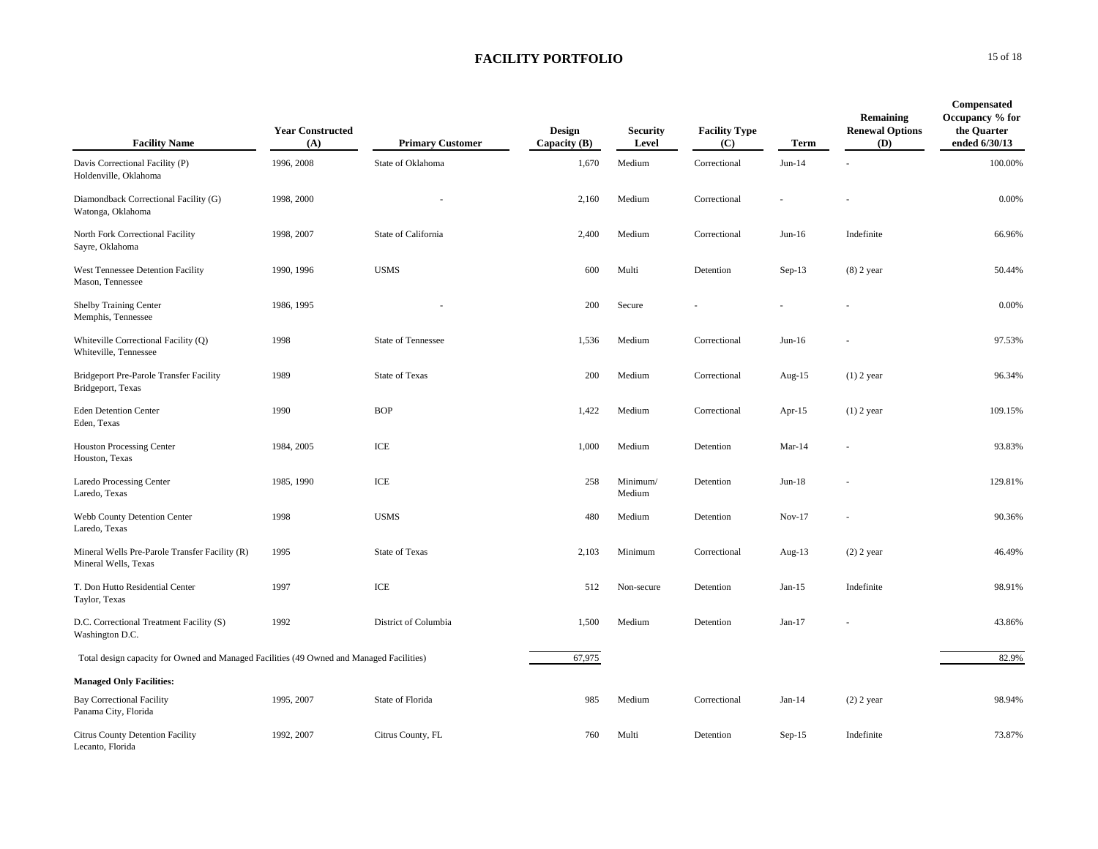| <b>Facility Name</b>                                                                     | <b>Year Constructed</b><br>(A) | <b>Primary Customer</b>   | Design<br>Capacity (B) | <b>Security</b><br>Level | <b>Facility Type</b><br>(C) | <b>Term</b> | Remaining<br><b>Renewal Options</b><br>(D) | Compensated<br>Occupancy % for<br>the Quarter<br>ended 6/30/13 |
|------------------------------------------------------------------------------------------|--------------------------------|---------------------------|------------------------|--------------------------|-----------------------------|-------------|--------------------------------------------|----------------------------------------------------------------|
| Davis Correctional Facility (P)<br>Holdenville, Oklahoma                                 | 1996, 2008                     | State of Oklahoma         | 1,670                  | Medium                   | Correctional                | $Jun-14$    |                                            | 100.00%                                                        |
| Diamondback Correctional Facility (G)<br>Watonga, Oklahoma                               | 1998, 2000                     |                           | 2,160                  | Medium                   | Correctional                |             |                                            | 0.00%                                                          |
| North Fork Correctional Facility<br>Sayre, Oklahoma                                      | 1998, 2007                     | State of California       | 2,400                  | Medium                   | Correctional                | $Jun-16$    | Indefinite                                 | 66.96%                                                         |
| West Tennessee Detention Facility<br>Mason, Tennessee                                    | 1990, 1996                     | <b>USMS</b>               | 600                    | Multi                    | Detention                   | $Sep-13$    | $(8)$ 2 year                               | 50.44%                                                         |
| Shelby Training Center<br>Memphis, Tennessee                                             | 1986, 1995                     |                           | 200                    | Secure                   |                             |             |                                            | 0.00%                                                          |
| Whiteville Correctional Facility (Q)<br>Whiteville, Tennessee                            | 1998                           | <b>State of Tennessee</b> | 1,536                  | Medium                   | Correctional                | $Jun-16$    |                                            | 97.53%                                                         |
| <b>Bridgeport Pre-Parole Transfer Facility</b><br>Bridgeport, Texas                      | 1989                           | <b>State of Texas</b>     | 200                    | Medium                   | Correctional                | Aug- $15$   | $(1)$ 2 year                               | 96.34%                                                         |
| <b>Eden Detention Center</b><br>Eden, Texas                                              | 1990                           | <b>BOP</b>                | 1,422                  | Medium                   | Correctional                | Apr- $15$   | $(1)$ 2 year                               | 109.15%                                                        |
| <b>Houston Processing Center</b><br>Houston, Texas                                       | 1984, 2005                     | ICE                       | 1,000                  | Medium                   | Detention                   | $Mar-14$    |                                            | 93.83%                                                         |
| Laredo Processing Center<br>Laredo, Texas                                                | 1985, 1990                     | ICE                       | 258                    | Minimum/<br>Medium       | Detention                   | $Jun-18$    |                                            | 129.81%                                                        |
| Webb County Detention Center<br>Laredo, Texas                                            | 1998                           | <b>USMS</b>               | 480                    | Medium                   | Detention                   | Nov-17      |                                            | 90.36%                                                         |
| Mineral Wells Pre-Parole Transfer Facility (R)<br>Mineral Wells, Texas                   | 1995                           | <b>State of Texas</b>     | 2,103                  | Minimum                  | Correctional                | Aug- $13$   | $(2)$ 2 year                               | 46.49%                                                         |
| T. Don Hutto Residential Center<br>Taylor, Texas                                         | 1997                           | ICE                       | 512                    | Non-secure               | Detention                   | $Jan-15$    | Indefinite                                 | 98.91%                                                         |
| D.C. Correctional Treatment Facility (S)<br>Washington D.C.                              | 1992                           | District of Columbia      | 1,500                  | Medium                   | Detention                   | $Jan-17$    |                                            | 43.86%                                                         |
| Total design capacity for Owned and Managed Facilities (49 Owned and Managed Facilities) |                                |                           | 67,975                 |                          |                             |             |                                            | 82.9%                                                          |
| <b>Managed Only Facilities:</b>                                                          |                                |                           |                        |                          |                             |             |                                            |                                                                |
| <b>Bay Correctional Facility</b><br>Panama City, Florida                                 | 1995, 2007                     | State of Florida          | 985                    | Medium                   | Correctional                | $Jan-14$    | $(2)$ 2 year                               | 98.94%                                                         |
| <b>Citrus County Detention Facility</b><br>Lecanto, Florida                              | 1992, 2007                     | Citrus County, FL         | 760                    | Multi                    | Detention                   | $Sep-15$    | Indefinite                                 | 73.87%                                                         |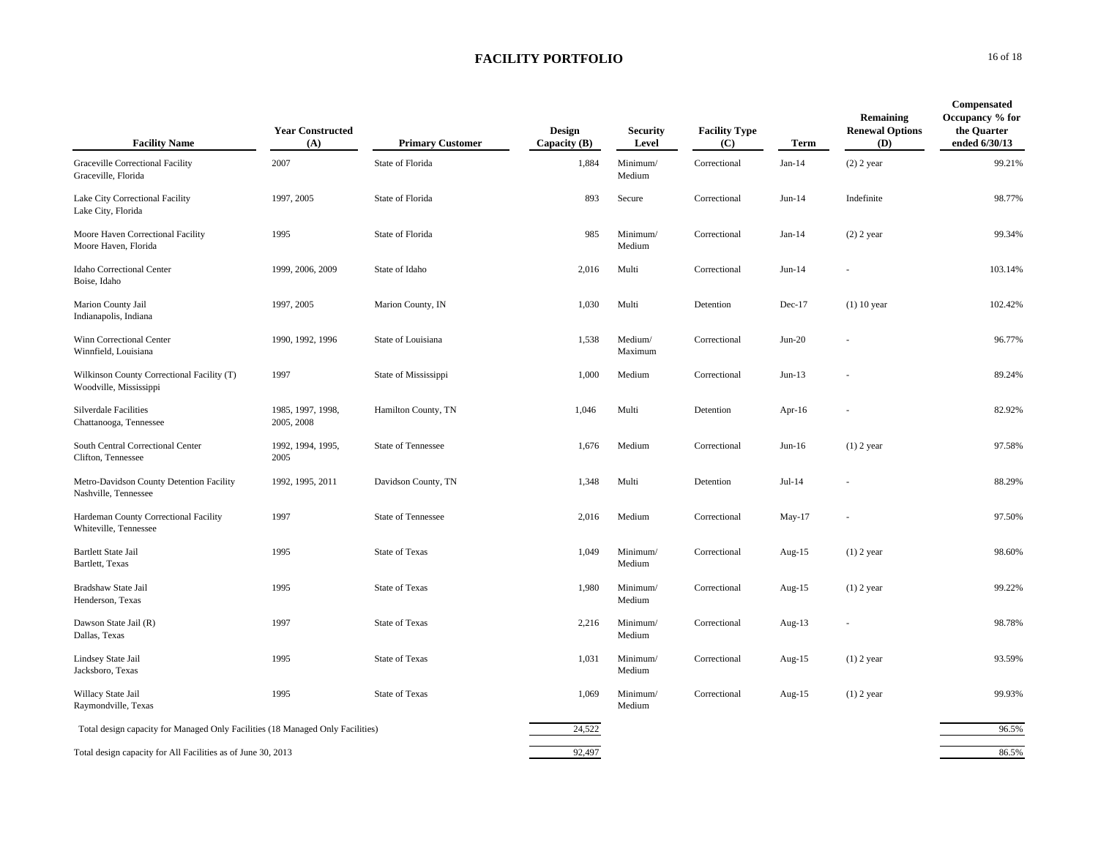| <b>Facility Name</b>                                                           | <b>Year Constructed</b><br>(A)  | <b>Primary Customer</b> | Design<br>Capacity (B) | <b>Security</b><br>Level | <b>Facility Type</b><br>(C) | <b>Term</b> | Remaining<br><b>Renewal Options</b><br>(D) | Compensated<br>Occupancy % for<br>the Quarter<br>ended 6/30/13 |
|--------------------------------------------------------------------------------|---------------------------------|-------------------------|------------------------|--------------------------|-----------------------------|-------------|--------------------------------------------|----------------------------------------------------------------|
| Graceville Correctional Facility<br>Graceville, Florida                        | 2007                            | State of Florida        | 1,884                  | Minimum/<br>Medium       | Correctional                | $Jan-14$    | $(2)$ 2 year                               | 99.21%                                                         |
| Lake City Correctional Facility<br>Lake City, Florida                          | 1997, 2005                      | State of Florida        | 893                    | Secure                   | Correctional                | $Jun-14$    | Indefinite                                 | 98.77%                                                         |
| Moore Haven Correctional Facility<br>Moore Haven, Florida                      | 1995                            | State of Florida        | 985                    | Minimum/<br>Medium       | Correctional                | $Jan-14$    | $(2)$ 2 year                               | 99.34%                                                         |
| Idaho Correctional Center<br>Boise, Idaho                                      | 1999, 2006, 2009                | State of Idaho          | 2,016                  | Multi                    | Correctional                | $Jun-14$    |                                            | 103.14%                                                        |
| Marion County Jail<br>Indianapolis, Indiana                                    | 1997, 2005                      | Marion County, IN       | 1,030                  | Multi                    | Detention                   | $Dec-17$    | $(1)$ 10 year                              | 102.42%                                                        |
| Winn Correctional Center<br>Winnfield, Louisiana                               | 1990, 1992, 1996                | State of Louisiana      | 1,538                  | Medium/<br>Maximum       | Correctional                | $Jun-20$    |                                            | 96.77%                                                         |
| Wilkinson County Correctional Facility (T)<br>Woodville, Mississippi           | 1997                            | State of Mississippi    | 1,000                  | Medium                   | Correctional                | $Jun-13$    |                                            | 89.24%                                                         |
| <b>Silverdale Facilities</b><br>Chattanooga, Tennessee                         | 1985, 1997, 1998,<br>2005, 2008 | Hamilton County, TN     | 1,046                  | Multi                    | Detention                   | Apr- $16$   |                                            | 82.92%                                                         |
| South Central Correctional Center<br>Clifton, Tennessee                        | 1992, 1994, 1995,<br>2005       | State of Tennessee      | 1,676                  | Medium                   | Correctional                | $Jun-16$    | $(1)$ 2 year                               | 97.58%                                                         |
| Metro-Davidson County Detention Facility<br>Nashville, Tennessee               | 1992, 1995, 2011                | Davidson County, TN     | 1,348                  | Multi                    | Detention                   | $Jul-14$    |                                            | 88.29%                                                         |
| Hardeman County Correctional Facility<br>Whiteville, Tennessee                 | 1997                            | State of Tennessee      | 2,016                  | Medium                   | Correctional                | $May-17$    |                                            | 97.50%                                                         |
| <b>Bartlett State Jail</b><br>Bartlett, Texas                                  | 1995                            | <b>State of Texas</b>   | 1,049                  | Minimum/<br>Medium       | Correctional                | Aug- $15$   | $(1)$ 2 year                               | 98.60%                                                         |
| Bradshaw State Jail<br>Henderson, Texas                                        | 1995                            | <b>State of Texas</b>   | 1,980                  | Minimum/<br>Medium       | Correctional                | Aug- $15$   | $(1)$ 2 year                               | 99.22%                                                         |
| Dawson State Jail (R)<br>Dallas, Texas                                         | 1997                            | <b>State of Texas</b>   | 2,216                  | Minimum/<br>Medium       | Correctional                | Aug- $13$   |                                            | 98.78%                                                         |
| Lindsey State Jail<br>Jacksboro, Texas                                         | 1995                            | <b>State of Texas</b>   | 1,031                  | Minimum/<br>Medium       | Correctional                | Aug- $15$   | $(1)$ 2 year                               | 93.59%                                                         |
| Willacy State Jail<br>Raymondville, Texas                                      | 1995                            | <b>State of Texas</b>   | 1,069                  | Minimum/<br>Medium       | Correctional                | Aug-15      | $(1)$ 2 year                               | 99.93%                                                         |
| Total design capacity for Managed Only Facilities (18 Managed Only Facilities) |                                 |                         | 24,522                 |                          |                             |             |                                            | 96.5%                                                          |
| Total design capacity for All Facilities as of June 30, 2013                   |                                 |                         | 92,497                 |                          |                             |             |                                            | 86.5%                                                          |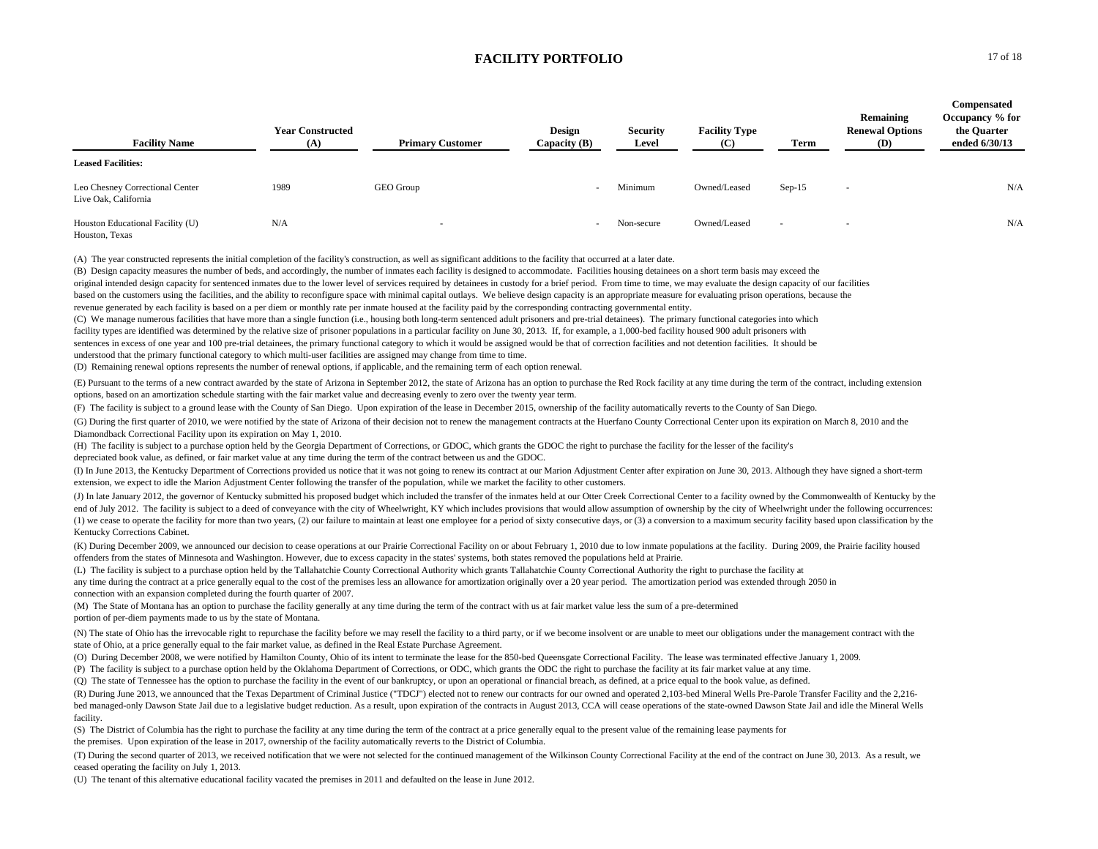| <b>Facility Name</b><br><b>Leased Facilities:</b>       | <b>Year Constructed</b><br>(A) | <b>Primary Customer</b> | <b>Design</b><br>Capacity (B) | <b>Security</b><br>Level | <b>Facility Type</b><br>(C) | Term                     | Remaining<br><b>Renewal Options</b><br><b>(D)</b> | Compensated<br>Occupancy % for<br>the Quarter<br>ended 6/30/13 |
|---------------------------------------------------------|--------------------------------|-------------------------|-------------------------------|--------------------------|-----------------------------|--------------------------|---------------------------------------------------|----------------------------------------------------------------|
| Leo Chesney Correctional Center<br>Live Oak, California | 1989                           | GEO Group               |                               | Minimum                  | Owned/Leased                | $Sep-15$                 |                                                   | N/A                                                            |
| Houston Educational Facility (U)<br>Houston, Texas      | N/A                            | $\sim$                  | $\overline{\phantom{a}}$      | Non-secure               | Owned/Leased                | $\overline{\phantom{a}}$ |                                                   | N/A                                                            |

(A) The year constructed represents the initial completion of the facility's construction, as well as significant additions to the facility that occurred at a later date.

(B) Design capacity measures the number of beds, and accordingly, the number of inmates each facility is designed to accommodate. Facilities housing detainees on a short term basis may exceed the

original intended design capacity for sentenced inmates due to the lower level of services required by detainees in custody for a brief period. From time to time, we may evaluate the design capacity of our facilities

based on the customers using the facilities, and the ability to reconfigure space with minimal capital outlays. We believe design capacity is an appropriate measure for evaluating prison operations, because the

revenue generated by each facility is based on a per diem or monthly rate per inmate housed at the facility paid by the corresponding contracting governmental entity.

(C) We manage numerous facilities that have more than a single function (i.e., housing both long-term sentenced adult prisoners and pre-trial detainees). The primary functional categories into which facility types are identified was determined by the relative size of prisoner populations in a particular facility on June 30, 2013. If, for example, a 1,000-bed facility housed 900 adult prisoners with sentences in excess of one year and 100 pre-trial detainees, the primary functional category to which it would be assigned would be that of correction facilities and not detention facilities. It should be understood that the primary functional category to which multi-user facilities are assigned may change from time to time.

(D) Remaining renewal options represents the number of renewal options, if applicable, and the remaining term of each option renewal.

(E) Pursuant to the terms of a new contract awarded by the state of Arizona in September 2012, the state of Arizona has an option to purchase the Red Rock facility at any time during the term of the contract, including ext options, based on an amortization schedule starting with the fair market value and decreasing evenly to zero over the twenty year term.

(F) The facility is subject to a ground lease with the County of San Diego. Upon expiration of the lease in December 2015, ownership of the facility automatically reverts to the County of San Diego.

(G) During the first quarter of 2010, we were notified by the state of Arizona of their decision not to renew the management contracts at the Huerfano County Correctional Center upon its expiration on March 8, 2010 and the Diamondback Correctional Facility upon its expiration on May 1, 2010.

(H) The facility is subject to a purchase option held by the Georgia Department of Corrections, or GDOC, which grants the GDOC the right to purchase the facility for the lesser of the facility's

depreciated book value, as defined, or fair market value at any time during the term of the contract between us and the GDOC.

(I) In June 2013, the Kentucky Department of Corrections provided us notice that it was not going to renew its contract at our Marion Adjustment Center after expiration on June 30, 2013. Although they have signed a short-t extension, we expect to idle the Marion Adjustment Center following the transfer of the population, while we market the facility to other customers.

(J) In late January 2012, the governor of Kentucky submitted his proposed budget which included the transfer of the inmates held at our Otter Creek Correctional Center to a facility owned by the Commonwealth of Kentucky by end of July 2012. The facility is subject to a deed of conveyance with the city of Wheelwright, KY which includes provisions that would allow assumption of ownership by the city of Wheelwright under the following occurrenc (1) we cease to operate the facility for more than two years, (2) our failure to maintain at least one employee for a period of sixty consecutive days, or (3) a conversion to a maximum security facility based upon classifi Kentucky Corrections Cabinet.

(K) During December 2009, we announced our decision to cease operations at our Prairie Correctional Facility on or about February 1, 2010 due to low inmate populations at the facility. During 2009, the Prairie facility hou offenders from the states of Minnesota and Washington. However, due to excess capacity in the states' systems, both states removed the populations held at Prairie.

(L) The facility is subject to a purchase option held by the Tallahatchie County Correctional Authority which grants Tallahatchie County Correctional Authority the right to purchase the facility at

any time during the contract at a price generally equal to the cost of the premises less an allowance for amortization originally over a 20 year period. The amortization period was extended through 2050 in connection with an expansion completed during the fourth quarter of 2007.

(M) The State of Montana has an option to purchase the facility generally at any time during the term of the contract with us at fair market value less the sum of a pre-determined portion of per-diem payments made to us by the state of Montana.

(N) The state of Ohio has the irrevocable right to repurchase the facility before we may resell the facility to a third party, or if we become insolvent or are unable to meet our obligations under the management contract w state of Ohio, at a price generally equal to the fair market value, as defined in the Real Estate Purchase Agreement.

(O) During December 2008, we were notified by Hamilton County, Ohio of its intent to terminate the lease for the 850-bed Queensgate Correctional Facility. The lease was terminated effective January 1, 2009.

(P) The facility is subject to a purchase option held by the Oklahoma Department of Corrections, or ODC, which grants the ODC the right to purchase the facility at its fair market value at any time.

(Q) The state of Tennessee has the option to purchase the facility in the event of our bankruptcy, or upon an operational or financial breach, as defined, at a price equal to the book value, as defined.

(R) During June 2013, we announced that the Texas Department of Criminal Justice ("TDCJ") elected not to renew our contracts for our owned and operated 2,103-bed Mineral Wells Pre-Parole Transfer Facility and the 2,216 bed managed-only Dawson State Jail due to a legislative budget reduction. As a result, upon expiration of the contracts in August 2013, CCA will cease operations of the state-owned Dawson State Jail and idle the Mineral We facility.

(S) The District of Columbia has the right to purchase the facility at any time during the term of the contract at a price generally equal to the present value of the remaining lease payments for the premises. Upon expiration of the lease in 2017, ownership of the facility automatically reverts to the District of Columbia.

(T) During the second quarter of 2013, we received notification that we were not selected for the continued management of the Wilkinson County Correctional Facility at the end of the contract on June 30, 2013. As a result, ceased operating the facility on July 1, 2013.

(U) The tenant of this alternative educational facility vacated the premises in 2011 and defaulted on the lease in June 2012.